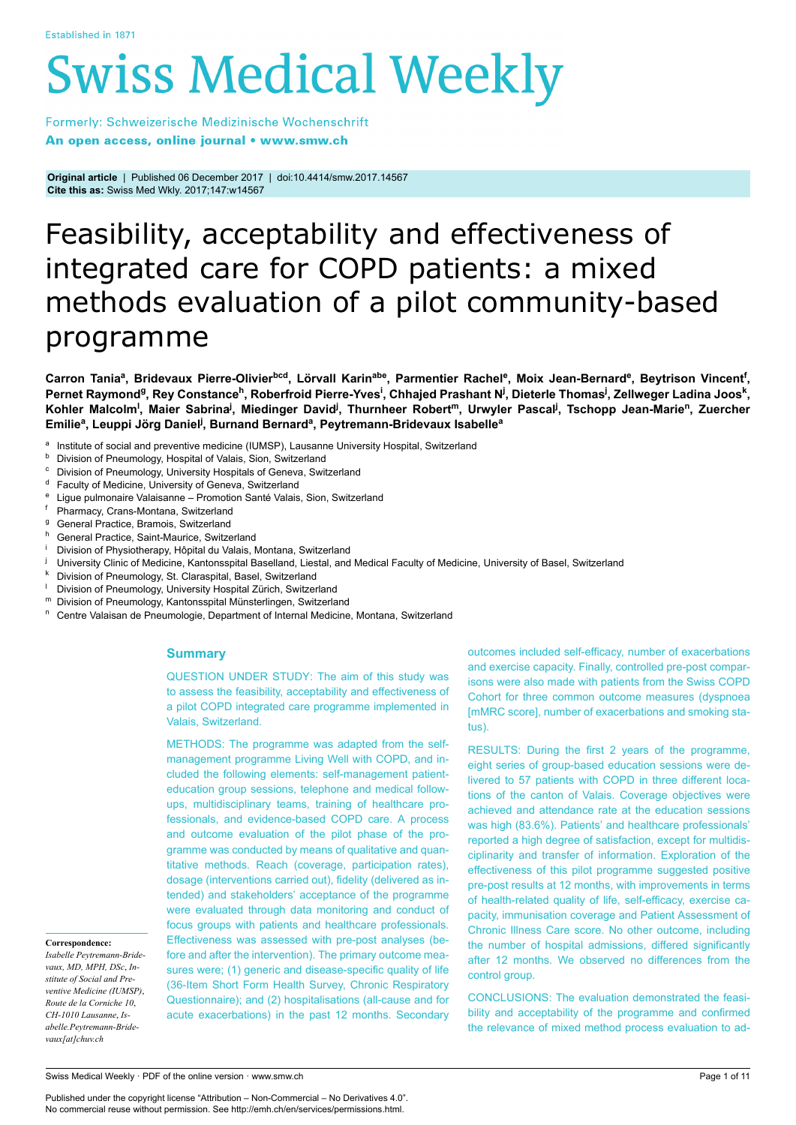# **Swiss Medical Weekly**

Formerly: Schweizerische Medizinische Wochenschrift An open access, online journal • www.smw.ch

**Original article** | Published 06 December 2017 | doi:10.4414/smw.2017.14567 **Cite this as:** Swiss Med Wkly. 2017;147:w14567

# Feasibility, acceptability and effectiveness of integrated care for COPD patients: a mixed methods evaluation of a pilot community-based programme

Carron Taniaª, Bridevaux Pierre-Olivier<sup>bcd</sup>, Lörvall Karin<sup>abe</sup>, Parmentier Rachel<sup>e</sup>, Moix Jean-Bernard<sup>e</sup>, Beytrison Vincent<sup>f</sup>, Pernet Raymond<sup>g</sup>, Rey Constance<sup>h</sup>, Roberfroid Pierre-Yves<sup>i</sup>, Chhajed Prashant N<sup>j</sup>, Dieterle Thomas<sup>j</sup>, Zellweger Ladina Joos<sup>k</sup>, Kohler Malcolm<sup>i</sup>, Maier Sabrina<sup>j</sup>, Miedinger David<sup>j</sup>, Thurnheer Robert<sup>m</sup>, Urwyler Pascal<sup>j</sup>, Tschopp Jean-Marie<sup>n</sup>, Zuercher **Emilie<sup>a</sup> , Leuppi Jörg Daniel<sup>j</sup> , Burnand Bernard<sup>a</sup> , Peytremann-Bridevaux Isabelle<sup>a</sup>**

- a Institute of social and preventive medicine (IUMSP), Lausanne University Hospital, Switzerland
- **b** Division of Pneumology, Hospital of Valais, Sion, Switzerland
- Division of Pneumology, University Hospitals of Geneva, Switzerland
- <sup>d</sup> Faculty of Medicine, University of Geneva, Switzerland
- Ligue pulmonaire Valaisanne Promotion Santé Valais, Sion, Switzerland
- <sup>f</sup> Pharmacy, Crans-Montana, Switzerland
- <sup>g</sup> General Practice, Bramois, Switzerland
- h General Practice, Saint-Maurice, Switzerland
- Division of Physiotherapy, Hôpital du Valais, Montana, Switzerland
- University Clinic of Medicine, Kantonsspital Baselland, Liestal, and Medical Faculty of Medicine, University of Basel, Switzerland
- Division of Pneumology, St. Claraspital, Basel, Switzerland
- <sup>1</sup> Division of Pneumology, University Hospital Zürich, Switzerland
- <sup>m</sup> Division of Pneumology, Kantonsspital Münsterlingen, Switzerland
- <sup>n</sup> Centre Valaisan de Pneumologie, Department of Internal Medicine, Montana, Switzerland

# **Summary**

QUESTION UNDER STUDY: The aim of this study was to assess the feasibility, acceptability and effectiveness of a pilot COPD integrated care programme implemented in Valais, Switzerland.

METHODS: The programme was adapted from the selfmanagement programme Living Well with COPD, and included the following elements: self-management patienteducation group sessions, telephone and medical followups, multidisciplinary teams, training of healthcare professionals, and evidence-based COPD care. A process and outcome evaluation of the pilot phase of the programme was conducted by means of qualitative and quantitative methods. Reach (coverage, participation rates), dosage (interventions carried out), fidelity (delivered as intended) and stakeholders' acceptance of the programme were evaluated through data monitoring and conduct of focus groups with patients and healthcare professionals. Effectiveness was assessed with pre-post analyses (before and after the intervention). The primary outcome measures were; (1) generic and disease-specific quality of life (36-Item Short Form Health Survey, Chronic Respiratory Questionnaire); and (2) hospitalisations (all-cause and for acute exacerbations) in the past 12 months. Secondary outcomes included self-efficacy, number of exacerbations and exercise capacity. Finally, controlled pre-post comparisons were also made with patients from the Swiss COPD Cohort for three common outcome measures (dyspnoea [mMRC score], number of exacerbations and smoking status).

RESULTS: During the first 2 years of the programme, eight series of group-based education sessions were delivered to 57 patients with COPD in three different locations of the canton of Valais. Coverage objectives were achieved and attendance rate at the education sessions was high (83.6%). Patients' and healthcare professionals' reported a high degree of satisfaction, except for multidisciplinarity and transfer of information. Exploration of the effectiveness of this pilot programme suggested positive pre-post results at 12 months, with improvements in terms of health-related quality of life, self-efficacy, exercise capacity, immunisation coverage and Patient Assessment of Chronic Illness Care score. No other outcome, including the number of hospital admissions, differed significantly after 12 months. We observed no differences from the control group.

CONCLUSIONS: The evaluation demonstrated the feasibility and acceptability of the programme and confirmed the relevance of mixed method process evaluation to ad-

#### **Correspondence:**

*Isabelle Peytremann-Bridevaux, MD, MPH, DSc*, *Institute of Social and Preventive Medicine (IUMSP)*, *Route de la Corniche 10*, *CH-1010 Lausanne*, *Isabelle.Peytremann-Bridevaux[at]chuv.ch*

Swiss Medical Weekly · PDF of the online version · www.smw.ch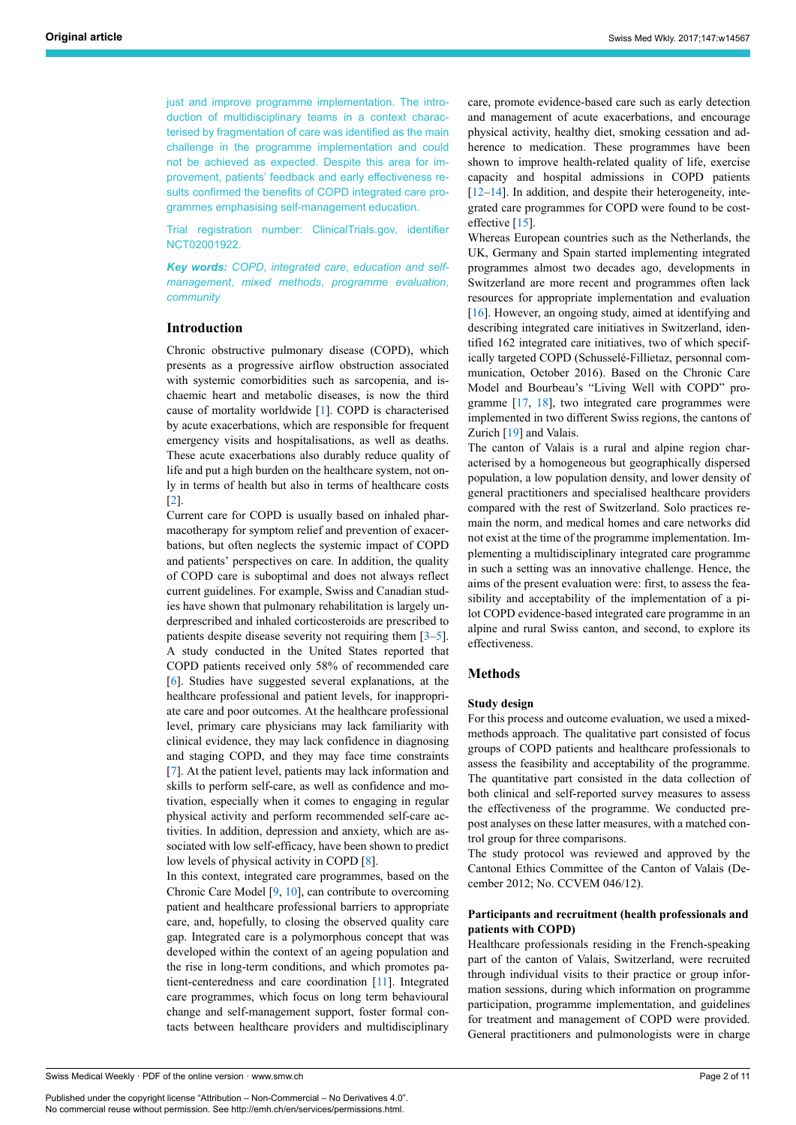just and improve programme implementation. The introduction of multidisciplinary teams in a context characterised by fragmentation of care was identified as the main challenge in the programme implementation and could not be achieved as expected. Despite this area for improvement, patients' feedback and early effectiveness results confirmed the benefits of COPD integrated care programmes emphasising self-management education.

Trial registration number: ClinicalTrials.gov, identifier NCT02001922.

*Key words: COPD*, *integrated care*, *education and selfmanagement*, *mixed methods*, *programme evaluation*, *community*

# **Introduction**

Chronic obstructive pulmonary disease (COPD), which presents as a progressive airflow obstruction associated with systemic comorbidities such as sarcopenia, and ischaemic heart and metabolic diseases, is now the third cause of mortality worldwide [\[1\]](#page-9-0). COPD is characterised by acute exacerbations, which are responsible for frequent emergency visits and hospitalisations, as well as deaths. These acute exacerbations also durably reduce quality of life and put a high burden on the healthcare system, not only in terms of health but also in terms of healthcare costs [[2](#page-9-1)].

Current care for COPD is usually based on inhaled pharmacotherapy for symptom relief and prevention of exacerbations, but often neglects the systemic impact of COPD and patients' perspectives on care. In addition, the quality of COPD care is suboptimal and does not always reflect current guidelines. For example, Swiss and Canadian studies have shown that pulmonary rehabilitation is largely underprescribed and inhaled corticosteroids are prescribed to patients despite disease severity not requiring them  $[3-5]$  $[3-5]$ . A study conducted in the United States reported that COPD patients received only 58% of recommended care [[6](#page-9-4)]. Studies have suggested several explanations, at the healthcare professional and patient levels, for inappropriate care and poor outcomes. At the healthcare professional level, primary care physicians may lack familiarity with clinical evidence, they may lack confidence in diagnosing and staging COPD, and they may face time constraints [[7](#page-9-5)]. At the patient level, patients may lack information and skills to perform self-care, as well as confidence and motivation, especially when it comes to engaging in regular physical activity and perform recommended self-care activities. In addition, depression and anxiety, which are associated with low self-efficacy, have been shown to predict low levels of physical activity in COPD [\[8\]](#page-9-6).

In this context, integrated care programmes, based on the Chronic Care Model  $[9, 10]$  $[9, 10]$  $[9, 10]$  $[9, 10]$ , can contribute to overcoming patient and healthcare professional barriers to appropriate care, and, hopefully, to closing the observed quality care gap. Integrated care is a polymorphous concept that was developed within the context of an ageing population and the rise in long-term conditions, and which promotes patient-centeredness and care coordination [[11](#page-9-9)]. Integrated care programmes, which focus on long term behavioural change and self-management support, foster formal contacts between healthcare providers and multidisciplinary

care, promote evidence-based care such as early detection and management of acute exacerbations, and encourage physical activity, healthy diet, smoking cessation and adherence to medication. These programmes have been shown to improve health-related quality of life, exercise capacity and hospital admissions in COPD patients [\[12](#page-9-10)–[14\]](#page-9-11). In addition, and despite their heterogeneity, integrated care programmes for COPD were found to be cost-effective [[15\]](#page-9-12).

Whereas European countries such as the Netherlands, the UK, Germany and Spain started implementing integrated programmes almost two decades ago, developments in Switzerland are more recent and programmes often lack resources for appropriate implementation and evaluation [\[16](#page-9-13)]. However, an ongoing study, aimed at identifying and describing integrated care initiatives in Switzerland, identified 162 integrated care initiatives, two of which specifically targeted COPD (Schusselé-Fillietaz, personnal communication, October 2016). Based on the Chronic Care Model and Bourbeau's "Living Well with COPD" programme [\[17](#page-9-14), [18](#page-9-15)], two integrated care programmes were implemented in two different Swiss regions, the cantons of Zurich [\[19](#page-9-16)] and Valais.

The canton of Valais is a rural and alpine region characterised by a homogeneous but geographically dispersed population, a low population density, and lower density of general practitioners and specialised healthcare providers compared with the rest of Switzerland. Solo practices remain the norm, and medical homes and care networks did not exist at the time of the programme implementation. Implementing a multidisciplinary integrated care programme in such a setting was an innovative challenge. Hence, the aims of the present evaluation were: first, to assess the feasibility and acceptability of the implementation of a pilot COPD evidence-based integrated care programme in an alpine and rural Swiss canton, and second, to explore its effectiveness.

# **Methods**

#### **Study design**

For this process and outcome evaluation, we used a mixedmethods approach. The qualitative part consisted of focus groups of COPD patients and healthcare professionals to assess the feasibility and acceptability of the programme. The quantitative part consisted in the data collection of both clinical and self-reported survey measures to assess the effectiveness of the programme. We conducted prepost analyses on these latter measures, with a matched control group for three comparisons.

The study protocol was reviewed and approved by the Cantonal Ethics Committee of the Canton of Valais (December 2012; No. CCVEM 046/12).

# **Participants and recruitment (health professionals and patients with COPD)**

Healthcare professionals residing in the French-speaking part of the canton of Valais, Switzerland, were recruited through individual visits to their practice or group information sessions, during which information on programme participation, programme implementation, and guidelines for treatment and management of COPD were provided. General practitioners and pulmonologists were in charge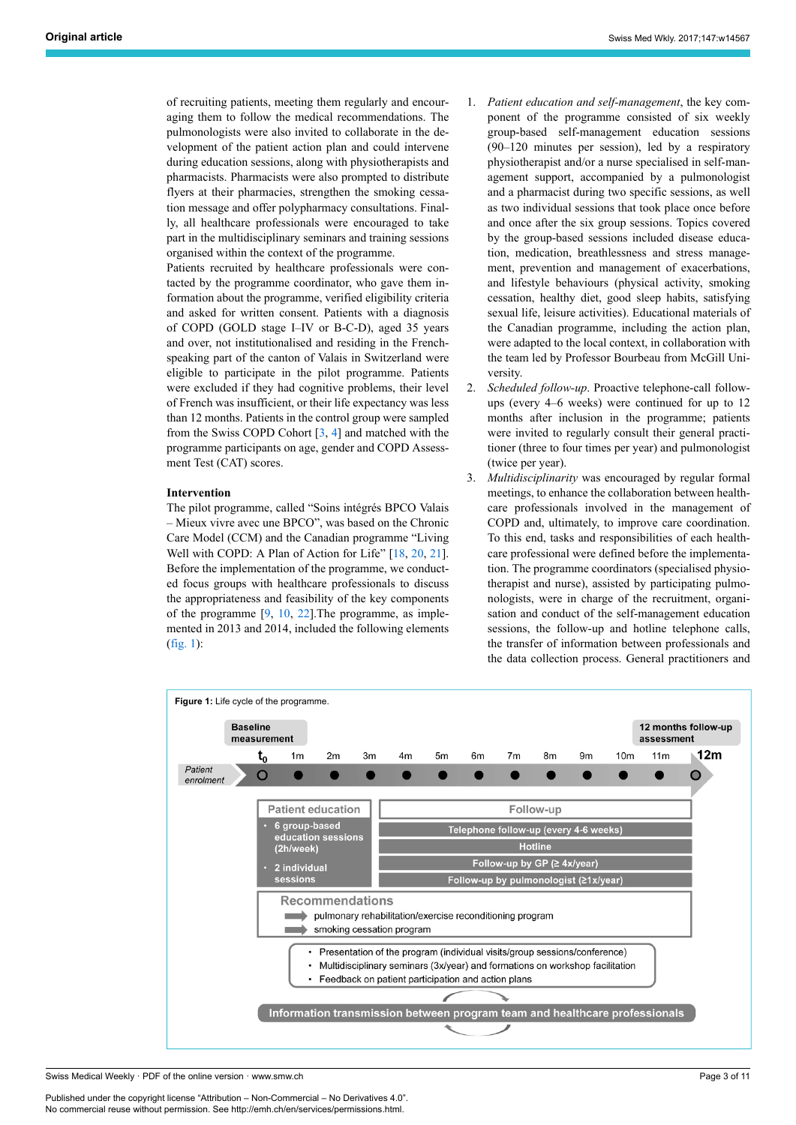of recruiting patients, meeting them regularly and encouraging them to follow the medical recommendations. The pulmonologists were also invited to collaborate in the development of the patient action plan and could intervene during education sessions, along with physiotherapists and pharmacists. Pharmacists were also prompted to distribute flyers at their pharmacies, strengthen the smoking cessation message and offer polypharmacy consultations. Finally, all healthcare professionals were encouraged to take part in the multidisciplinary seminars and training sessions organised within the context of the programme.

Patients recruited by healthcare professionals were contacted by the programme coordinator, who gave them information about the programme, verified eligibility criteria and asked for written consent. Patients with a diagnosis of COPD (GOLD stage I–IV or B-C-D), aged 35 years and over, not institutionalised and residing in the Frenchspeaking part of the canton of Valais in Switzerland were eligible to participate in the pilot programme. Patients were excluded if they had cognitive problems, their level of French was insufficient, or their life expectancy was less than 12 months. Patients in the control group were sampled from the Swiss COPD Cohort  $[3, 4]$  $[3, 4]$  $[3, 4]$  $[3, 4]$  $[3, 4]$  and matched with the programme participants on age, gender and COPD Assessment Test (CAT) scores.

# **Intervention**

The pilot programme, called "Soins intégrés BPCO Valais – Mieux vivre avec une BPCO", was based on the Chronic Care Model (CCM) and the Canadian programme "Living Well with COPD: A Plan of Action for Life" [\[18](#page-9-15), [20,](#page-9-18) [21\]](#page-9-19). Before the implementation of the programme, we conducted focus groups with healthcare professionals to discuss the appropriateness and feasibility of the key components of the programme  $[9, 10, 22]$  $[9, 10, 22]$  $[9, 10, 22]$  $[9, 10, 22]$  $[9, 10, 22]$  $[9, 10, 22]$ . The programme, as implemented in 2013 and 2014, included the following elements ([fig. 1\)](#page-2-0):

- 1. *Patient education and self-management*, the key component of the programme consisted of six weekly group-based self-management education sessions (90–120 minutes per session), led by a respiratory physiotherapist and/or a nurse specialised in self-management support, accompanied by a pulmonologist and a pharmacist during two specific sessions, as well as two individual sessions that took place once before and once after the six group sessions. Topics covered by the group-based sessions included disease education, medication, breathlessness and stress management, prevention and management of exacerbations, and lifestyle behaviours (physical activity, smoking cessation, healthy diet, good sleep habits, satisfying sexual life, leisure activities). Educational materials of the Canadian programme, including the action plan, were adapted to the local context, in collaboration with the team led by Professor Bourbeau from McGill University.
- 2. *Scheduled follow-up*. Proactive telephone-call followups (every 4–6 weeks) were continued for up to 12 months after inclusion in the programme; patients were invited to regularly consult their general practitioner (three to four times per year) and pulmonologist (twice per year).
- 3. *Multidisciplinarity* was encouraged by regular formal meetings, to enhance the collaboration between healthcare professionals involved in the management of COPD and, ultimately, to improve care coordination. To this end, tasks and responsibilities of each healthcare professional were defined before the implementation. The programme coordinators (specialised physiotherapist and nurse), assisted by participating pulmonologists, were in charge of the recruitment, organisation and conduct of the self-management education sessions, the follow-up and hotline telephone calls, the transfer of information between professionals and the data collection process. General practitioners and

<span id="page-2-0"></span>

Swiss Medical Weekly · PDF of the online version · www.smw.ch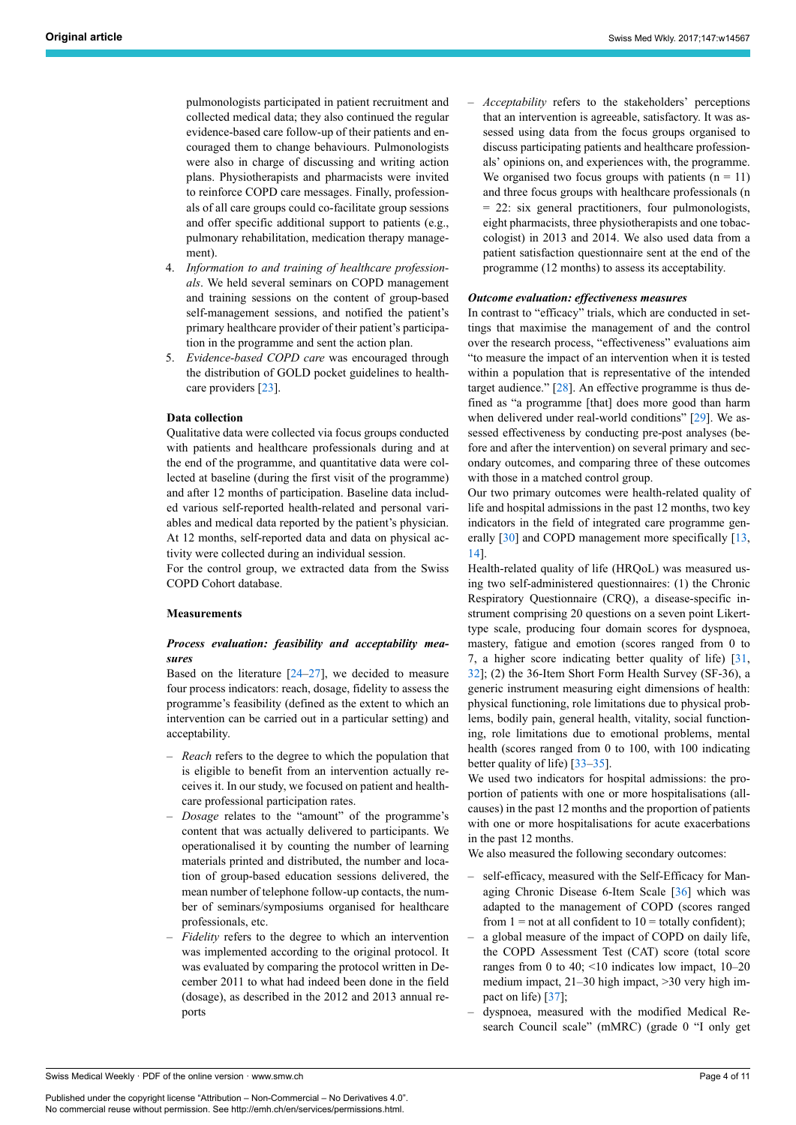pulmonologists participated in patient recruitment and collected medical data; they also continued the regular evidence-based care follow-up of their patients and encouraged them to change behaviours. Pulmonologists were also in charge of discussing and writing action plans. Physiotherapists and pharmacists were invited to reinforce COPD care messages. Finally, professionals of all care groups could co-facilitate group sessions and offer specific additional support to patients (e.g., pulmonary rehabilitation, medication therapy management).

- 4. *Information to and training of healthcare professionals*. We held several seminars on COPD management and training sessions on the content of group-based self-management sessions, and notified the patient's primary healthcare provider of their patient's participation in the programme and sent the action plan.
- 5. *Evidence-based COPD care* was encouraged through the distribution of GOLD pocket guidelines to healthcare providers [[23\]](#page-9-21).

#### **Data collection**

Qualitative data were collected via focus groups conducted with patients and healthcare professionals during and at the end of the programme, and quantitative data were collected at baseline (during the first visit of the programme) and after 12 months of participation. Baseline data included various self-reported health-related and personal variables and medical data reported by the patient's physician. At 12 months, self-reported data and data on physical activity were collected during an individual session.

For the control group, we extracted data from the Swiss COPD Cohort database.

#### **Measurements**

# *Process evaluation: feasibility and acceptability measures*

Based on the literature  $[24-27]$  $[24-27]$  $[24-27]$ , we decided to measure four process indicators: reach, dosage, fidelity to assess the programme's feasibility (defined as the extent to which an intervention can be carried out in a particular setting) and acceptability.

- *Reach* refers to the degree to which the population that is eligible to benefit from an intervention actually receives it. In our study, we focused on patient and healthcare professional participation rates.
- *Dosage* relates to the "amount" of the programme's content that was actually delivered to participants. We operationalised it by counting the number of learning materials printed and distributed, the number and location of group-based education sessions delivered, the mean number of telephone follow-up contacts, the number of seminars/symposiums organised for healthcare professionals, etc.
- *Fidelity* refers to the degree to which an intervention was implemented according to the original protocol. It was evaluated by comparing the protocol written in December 2011 to what had indeed been done in the field (dosage), as described in the 2012 and 2013 annual reports

– *Acceptability* refers to the stakeholders' perceptions that an intervention is agreeable, satisfactory. It was assessed using data from the focus groups organised to discuss participating patients and healthcare professionals' opinions on, and experiences with, the programme. We organised two focus groups with patients  $(n = 11)$ and three focus groups with healthcare professionals (n = 22: six general practitioners, four pulmonologists, eight pharmacists, three physiotherapists and one tobaccologist) in 2013 and 2014. We also used data from a patient satisfaction questionnaire sent at the end of the programme (12 months) to assess its acceptability.

#### *Outcome evaluation: effectiveness measures*

In contrast to "efficacy" trials, which are conducted in settings that maximise the management of and the control over the research process, "effectiveness" evaluations aim "to measure the impact of an intervention when it is tested within a population that is representative of the intended target audience." [\[28](#page-9-24)]. An effective programme is thus defined as "a programme [that] does more good than harm when delivered under real-world conditions" [\[29](#page-9-25)]. We assessed effectiveness by conducting pre-post analyses (before and after the intervention) on several primary and secondary outcomes, and comparing three of these outcomes with those in a matched control group.

Our two primary outcomes were health-related quality of life and hospital admissions in the past 12 months, two key indicators in the field of integrated care programme gen-erally [\[30](#page-9-26)] and COPD management more specifically [\[13](#page-9-27), [14](#page-9-11)].

Health-related quality of life (HRQoL) was measured using two self-administered questionnaires: (1) the Chronic Respiratory Questionnaire (CRQ), a disease-specific instrument comprising 20 questions on a seven point Likerttype scale, producing four domain scores for dyspnoea, mastery, fatigue and emotion (scores ranged from 0 to 7, a higher score indicating better quality of life) [\[31](#page-9-28), [32](#page-9-29)]; (2) the 36-Item Short Form Health Survey (SF-36), a generic instrument measuring eight dimensions of health: physical functioning, role limitations due to physical problems, bodily pain, general health, vitality, social functioning, role limitations due to emotional problems, mental health (scores ranged from 0 to 100, with 100 indicating better quality of life) [[33](#page-9-30)–[35\]](#page-10-0).

We used two indicators for hospital admissions: the proportion of patients with one or more hospitalisations (allcauses) in the past 12 months and the proportion of patients with one or more hospitalisations for acute exacerbations in the past 12 months.

We also measured the following secondary outcomes:

- self-efficacy, measured with the Self-Efficacy for Managing Chronic Disease 6-Item Scale [\[36](#page-10-1)] which was adapted to the management of COPD (scores ranged from  $1 =$  not at all confident to  $10 =$  totally confident);
- a global measure of the impact of COPD on daily life, the COPD Assessment Test (CAT) score (total score ranges from 0 to 40; <10 indicates low impact, 10–20 medium impact, 21–30 high impact, >30 very high impact on life) [\[37](#page-10-2)];
- dyspnoea, measured with the modified Medical Research Council scale" (mMRC) (grade 0 "I only get

Swiss Medical Weekly · PDF of the online version · www.smw.ch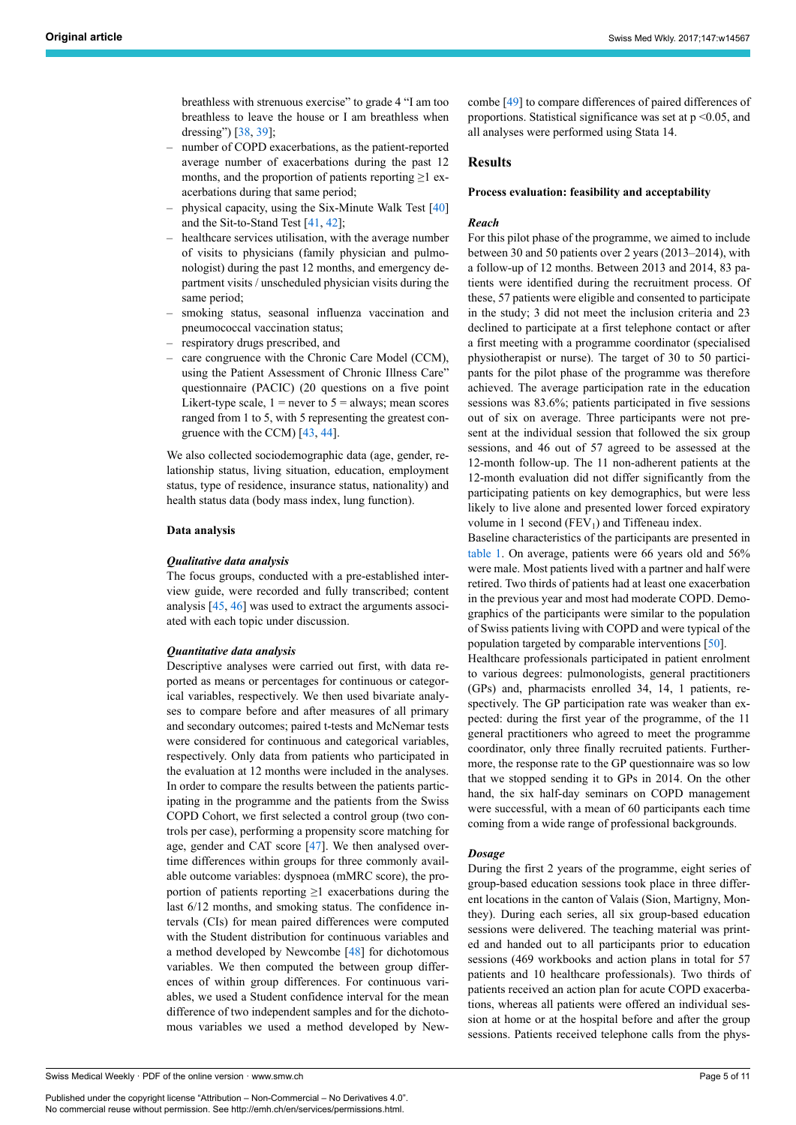breathless with strenuous exercise" to grade 4 "I am too breathless to leave the house or I am breathless when dressing") [\[38](#page-10-3), [39\]](#page-10-4);

- number of COPD exacerbations, as the patient-reported average number of exacerbations during the past 12 months, and the proportion of patients reporting  $\geq 1$  exacerbations during that same period;
- physical capacity, using the Six-Minute Walk Test [[40\]](#page-10-5) and the Sit-to-Stand Test [\[41](#page-10-6), [42\]](#page-10-7);
- healthcare services utilisation, with the average number of visits to physicians (family physician and pulmonologist) during the past 12 months, and emergency department visits / unscheduled physician visits during the same period;
- smoking status, seasonal influenza vaccination and pneumococcal vaccination status;
- respiratory drugs prescribed, and
- care congruence with the Chronic Care Model (CCM), using the Patient Assessment of Chronic Illness Care" questionnaire (PACIC) (20 questions on a five point Likert-type scale,  $1 =$  never to  $5 =$  always; mean scores ranged from 1 to 5, with 5 representing the greatest congruence with the CCM) [[43,](#page-10-8) [44](#page-10-9)].

We also collected sociodemographic data (age, gender, relationship status, living situation, education, employment status, type of residence, insurance status, nationality) and health status data (body mass index, lung function).

#### **Data analysis**

#### *Qualitative data analysis*

The focus groups, conducted with a pre-established interview guide, were recorded and fully transcribed; content analysis [\[45](#page-10-10), [46\]](#page-10-11) was used to extract the arguments associated with each topic under discussion.

#### *Quantitative data analysis*

Descriptive analyses were carried out first, with data reported as means or percentages for continuous or categorical variables, respectively. We then used bivariate analyses to compare before and after measures of all primary and secondary outcomes; paired t-tests and McNemar tests were considered for continuous and categorical variables, respectively. Only data from patients who participated in the evaluation at 12 months were included in the analyses. In order to compare the results between the patients participating in the programme and the patients from the Swiss COPD Cohort, we first selected a control group (two controls per case), performing a propensity score matching for age, gender and CAT score [\[47](#page-10-0)]. We then analysed overtime differences within groups for three commonly available outcome variables: dyspnoea (mMRC score), the proportion of patients reporting  $\geq 1$  exacerbations during the last 6/12 months, and smoking status. The confidence intervals (CIs) for mean paired differences were computed with the Student distribution for continuous variables and a method developed by Newcombe [[48\]](#page-10-12) for dichotomous variables. We then computed the between group differences of within group differences. For continuous variables, we used a Student confidence interval for the mean difference of two independent samples and for the dichotomous variables we used a method developed by New-

Swiss Medical Weekly · PDF of the online version · www.smw.ch

Published under the copyright license "Attribution – Non-Commercial – No Derivatives 4.0". No commercial reuse without permission. See http://emh.ch/en/services/permissions.html.

combe [\[49](#page-10-13)] to compare differences of paired differences of proportions. Statistical significance was set at  $p \le 0.05$ , and all analyses were performed using Stata 14.

# **Results**

#### **Process evaluation: feasibility and acceptability**

# *Reach*

For this pilot phase of the programme, we aimed to include between 30 and 50 patients over 2 years (2013–2014), with a follow-up of 12 months. Between 2013 and 2014, 83 patients were identified during the recruitment process. Of these, 57 patients were eligible and consented to participate in the study; 3 did not meet the inclusion criteria and 23 declined to participate at a first telephone contact or after a first meeting with a programme coordinator (specialised physiotherapist or nurse). The target of 30 to 50 participants for the pilot phase of the programme was therefore achieved. The average participation rate in the education sessions was 83.6%; patients participated in five sessions out of six on average. Three participants were not present at the individual session that followed the six group sessions, and 46 out of 57 agreed to be assessed at the 12-month follow-up. The 11 non-adherent patients at the 12-month evaluation did not differ significantly from the participating patients on key demographics, but were less likely to live alone and presented lower forced expiratory volume in 1 second ( $FEV<sub>1</sub>$ ) and Tiffeneau index.

Baseline characteristics of the participants are presented in [table](#page-5-0) 1. On average, patients were 66 years old and 56% were male. Most patients lived with a partner and half were retired. Two thirds of patients had at least one exacerbation in the previous year and most had moderate COPD. Demographics of the participants were similar to the population of Swiss patients living with COPD and were typical of the population targeted by comparable interventions [[50\]](#page-10-3).

Healthcare professionals participated in patient enrolment to various degrees: pulmonologists, general practitioners (GPs) and, pharmacists enrolled 34, 14, 1 patients, respectively. The GP participation rate was weaker than expected: during the first year of the programme, of the 11 general practitioners who agreed to meet the programme coordinator, only three finally recruited patients. Furthermore, the response rate to the GP questionnaire was so low that we stopped sending it to GPs in 2014. On the other hand, the six half-day seminars on COPD management were successful, with a mean of 60 participants each time coming from a wide range of professional backgrounds.

#### *Dosage*

During the first 2 years of the programme, eight series of group-based education sessions took place in three different locations in the canton of Valais (Sion, Martigny, Monthey). During each series, all six group-based education sessions were delivered. The teaching material was printed and handed out to all participants prior to education sessions (469 workbooks and action plans in total for 57 patients and 10 healthcare professionals). Two thirds of patients received an action plan for acute COPD exacerbations, whereas all patients were offered an individual session at home or at the hospital before and after the group sessions. Patients received telephone calls from the phys-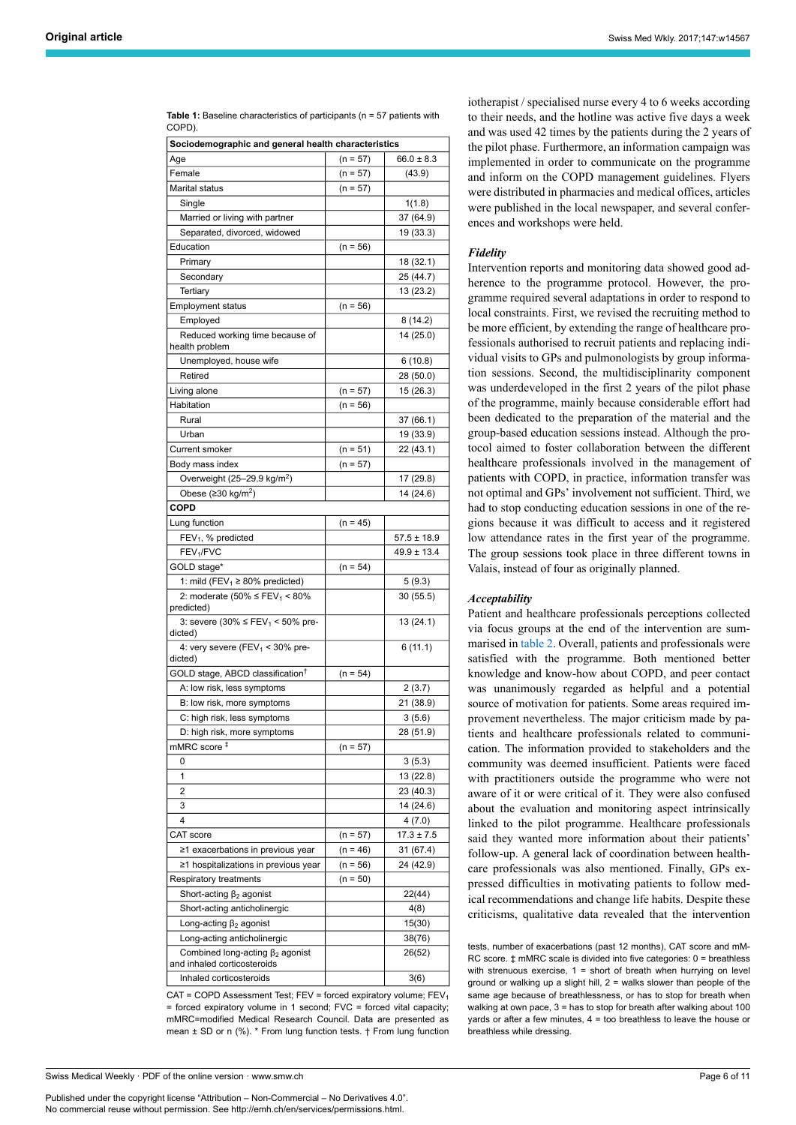<span id="page-5-0"></span>

| Table 1: Baseline characteristics of participants ( $n = 57$ patients with |  |
|----------------------------------------------------------------------------|--|
| COPD).                                                                     |  |

| Age<br>$66.0 \pm 8.3$<br>$(n = 57)$<br>Female<br>$(n = 57)$<br>(43.9)<br>Marital status<br>$(n = 57)$<br>Single<br>1(1.8)<br>Married or living with partner<br>37 (64.9)<br>Separated, divorced, widowed<br>19 (33.3)<br>Education<br>$(n = 56)$<br>Primary<br>18 (32.1)<br>25 (44.7)<br>Secondary<br>Tertiary<br>13 (23.2)<br><b>Employment status</b><br>$(n = 56)$<br>Employed<br>8 (14.2)<br>Reduced working time because of<br>14 (25.0)<br>health problem<br>Unemployed, house wife<br>6 (10.8)<br>Retired<br>28 (50.0)<br>Living alone<br>15 (26.3)<br>$(n = 57)$<br>$(n = 56)$<br>Habitation<br>Rural<br>37 (66.1)<br>19 (33.9)<br>Urban<br><b>Current smoker</b><br>$(n = 51)$<br>22 (43.1)<br>Body mass index<br>$(n = 57)$<br>Overweight (25-29.9 kg/m <sup>2</sup> )<br>17 (29.8)<br>Obese ( $\geq$ 30 kg/m <sup>2</sup> )<br>14 (24.6)<br><b>COPD</b><br>$(n = 45)$<br>Lung function<br>$57.5 \pm 18.9$<br>$FEV1$ , % predicted<br>FEV <sub>1</sub> /FVC<br>$49.9 \pm 13.4$<br>GOLD stage*<br>$(n = 54)$<br>1: mild (FEV <sub>1</sub> $\geq$ 80% predicted)<br>5(9.3)<br>2: moderate $(50\% \leq FEV_1 \leq 80\%)$<br>30 (55.5)<br>predicted)<br>3: severe (30% ≤ FEV <sub>1</sub> < 50% pre-<br>13 (24.1)<br>dicted)<br>6(11.1)<br>4: very severe (FEV <sub>1</sub> < 30% pre-<br>dicted)<br>GOLD stage, ABCD classification <sup>†</sup><br>$(n = 54)$<br>A: low risk, less symptoms<br>2(3.7)<br>21 (38.9)<br>B: low risk, more symptoms<br>C: high risk, less symptoms<br>3(5.6)<br>28 (51.9)<br>D: high risk, more symptoms<br>mMRC score ‡<br>$(n = 57)$<br>3(5.3)<br>0<br>1<br>13 (22.8)<br>2<br>23 (40.3)<br>3<br>14 (24.6)<br>4<br>4(7.0)<br>CAT score<br>$17.3 \pm 7.5$<br>$(n = 57)$<br>≥1 exacerbations in previous year<br>$(n = 46)$<br>31 (67.4)<br>≥1 hospitalizations in previous year<br>$(n = 56)$<br>24 (42.9)<br>Respiratory treatments<br>$(n = 50)$<br>Short-acting $\beta_2$ agonist<br>22(44)<br>Short-acting anticholinergic<br>4(8)<br>Long-acting $\beta_2$ agonist<br>15(30)<br>Long-acting anticholinergic<br>38(76)<br>Combined long-acting $\beta_2$ agonist<br>26(52)<br>and inhaled corticosteroids<br>Inhaled corticosteroids<br>3(6) | Sociodemographic and general health characteristics |  |  |  |  |  |
|---------------------------------------------------------------------------------------------------------------------------------------------------------------------------------------------------------------------------------------------------------------------------------------------------------------------------------------------------------------------------------------------------------------------------------------------------------------------------------------------------------------------------------------------------------------------------------------------------------------------------------------------------------------------------------------------------------------------------------------------------------------------------------------------------------------------------------------------------------------------------------------------------------------------------------------------------------------------------------------------------------------------------------------------------------------------------------------------------------------------------------------------------------------------------------------------------------------------------------------------------------------------------------------------------------------------------------------------------------------------------------------------------------------------------------------------------------------------------------------------------------------------------------------------------------------------------------------------------------------------------------------------------------------------------------------------------------------------------------------------------------------------------------------------------------------------------------------------------------------------------------------------------------------------------------------------------------------------------------------------------------------------------------------------------------------------------------------------------------------------------------------------------------------------------------------|-----------------------------------------------------|--|--|--|--|--|
|                                                                                                                                                                                                                                                                                                                                                                                                                                                                                                                                                                                                                                                                                                                                                                                                                                                                                                                                                                                                                                                                                                                                                                                                                                                                                                                                                                                                                                                                                                                                                                                                                                                                                                                                                                                                                                                                                                                                                                                                                                                                                                                                                                                       |                                                     |  |  |  |  |  |
|                                                                                                                                                                                                                                                                                                                                                                                                                                                                                                                                                                                                                                                                                                                                                                                                                                                                                                                                                                                                                                                                                                                                                                                                                                                                                                                                                                                                                                                                                                                                                                                                                                                                                                                                                                                                                                                                                                                                                                                                                                                                                                                                                                                       |                                                     |  |  |  |  |  |
|                                                                                                                                                                                                                                                                                                                                                                                                                                                                                                                                                                                                                                                                                                                                                                                                                                                                                                                                                                                                                                                                                                                                                                                                                                                                                                                                                                                                                                                                                                                                                                                                                                                                                                                                                                                                                                                                                                                                                                                                                                                                                                                                                                                       |                                                     |  |  |  |  |  |
|                                                                                                                                                                                                                                                                                                                                                                                                                                                                                                                                                                                                                                                                                                                                                                                                                                                                                                                                                                                                                                                                                                                                                                                                                                                                                                                                                                                                                                                                                                                                                                                                                                                                                                                                                                                                                                                                                                                                                                                                                                                                                                                                                                                       |                                                     |  |  |  |  |  |
|                                                                                                                                                                                                                                                                                                                                                                                                                                                                                                                                                                                                                                                                                                                                                                                                                                                                                                                                                                                                                                                                                                                                                                                                                                                                                                                                                                                                                                                                                                                                                                                                                                                                                                                                                                                                                                                                                                                                                                                                                                                                                                                                                                                       |                                                     |  |  |  |  |  |
|                                                                                                                                                                                                                                                                                                                                                                                                                                                                                                                                                                                                                                                                                                                                                                                                                                                                                                                                                                                                                                                                                                                                                                                                                                                                                                                                                                                                                                                                                                                                                                                                                                                                                                                                                                                                                                                                                                                                                                                                                                                                                                                                                                                       |                                                     |  |  |  |  |  |
|                                                                                                                                                                                                                                                                                                                                                                                                                                                                                                                                                                                                                                                                                                                                                                                                                                                                                                                                                                                                                                                                                                                                                                                                                                                                                                                                                                                                                                                                                                                                                                                                                                                                                                                                                                                                                                                                                                                                                                                                                                                                                                                                                                                       |                                                     |  |  |  |  |  |
|                                                                                                                                                                                                                                                                                                                                                                                                                                                                                                                                                                                                                                                                                                                                                                                                                                                                                                                                                                                                                                                                                                                                                                                                                                                                                                                                                                                                                                                                                                                                                                                                                                                                                                                                                                                                                                                                                                                                                                                                                                                                                                                                                                                       |                                                     |  |  |  |  |  |
|                                                                                                                                                                                                                                                                                                                                                                                                                                                                                                                                                                                                                                                                                                                                                                                                                                                                                                                                                                                                                                                                                                                                                                                                                                                                                                                                                                                                                                                                                                                                                                                                                                                                                                                                                                                                                                                                                                                                                                                                                                                                                                                                                                                       |                                                     |  |  |  |  |  |
|                                                                                                                                                                                                                                                                                                                                                                                                                                                                                                                                                                                                                                                                                                                                                                                                                                                                                                                                                                                                                                                                                                                                                                                                                                                                                                                                                                                                                                                                                                                                                                                                                                                                                                                                                                                                                                                                                                                                                                                                                                                                                                                                                                                       |                                                     |  |  |  |  |  |
|                                                                                                                                                                                                                                                                                                                                                                                                                                                                                                                                                                                                                                                                                                                                                                                                                                                                                                                                                                                                                                                                                                                                                                                                                                                                                                                                                                                                                                                                                                                                                                                                                                                                                                                                                                                                                                                                                                                                                                                                                                                                                                                                                                                       |                                                     |  |  |  |  |  |
|                                                                                                                                                                                                                                                                                                                                                                                                                                                                                                                                                                                                                                                                                                                                                                                                                                                                                                                                                                                                                                                                                                                                                                                                                                                                                                                                                                                                                                                                                                                                                                                                                                                                                                                                                                                                                                                                                                                                                                                                                                                                                                                                                                                       |                                                     |  |  |  |  |  |
|                                                                                                                                                                                                                                                                                                                                                                                                                                                                                                                                                                                                                                                                                                                                                                                                                                                                                                                                                                                                                                                                                                                                                                                                                                                                                                                                                                                                                                                                                                                                                                                                                                                                                                                                                                                                                                                                                                                                                                                                                                                                                                                                                                                       |                                                     |  |  |  |  |  |
|                                                                                                                                                                                                                                                                                                                                                                                                                                                                                                                                                                                                                                                                                                                                                                                                                                                                                                                                                                                                                                                                                                                                                                                                                                                                                                                                                                                                                                                                                                                                                                                                                                                                                                                                                                                                                                                                                                                                                                                                                                                                                                                                                                                       |                                                     |  |  |  |  |  |
|                                                                                                                                                                                                                                                                                                                                                                                                                                                                                                                                                                                                                                                                                                                                                                                                                                                                                                                                                                                                                                                                                                                                                                                                                                                                                                                                                                                                                                                                                                                                                                                                                                                                                                                                                                                                                                                                                                                                                                                                                                                                                                                                                                                       |                                                     |  |  |  |  |  |
|                                                                                                                                                                                                                                                                                                                                                                                                                                                                                                                                                                                                                                                                                                                                                                                                                                                                                                                                                                                                                                                                                                                                                                                                                                                                                                                                                                                                                                                                                                                                                                                                                                                                                                                                                                                                                                                                                                                                                                                                                                                                                                                                                                                       |                                                     |  |  |  |  |  |
|                                                                                                                                                                                                                                                                                                                                                                                                                                                                                                                                                                                                                                                                                                                                                                                                                                                                                                                                                                                                                                                                                                                                                                                                                                                                                                                                                                                                                                                                                                                                                                                                                                                                                                                                                                                                                                                                                                                                                                                                                                                                                                                                                                                       |                                                     |  |  |  |  |  |
|                                                                                                                                                                                                                                                                                                                                                                                                                                                                                                                                                                                                                                                                                                                                                                                                                                                                                                                                                                                                                                                                                                                                                                                                                                                                                                                                                                                                                                                                                                                                                                                                                                                                                                                                                                                                                                                                                                                                                                                                                                                                                                                                                                                       |                                                     |  |  |  |  |  |
|                                                                                                                                                                                                                                                                                                                                                                                                                                                                                                                                                                                                                                                                                                                                                                                                                                                                                                                                                                                                                                                                                                                                                                                                                                                                                                                                                                                                                                                                                                                                                                                                                                                                                                                                                                                                                                                                                                                                                                                                                                                                                                                                                                                       |                                                     |  |  |  |  |  |
|                                                                                                                                                                                                                                                                                                                                                                                                                                                                                                                                                                                                                                                                                                                                                                                                                                                                                                                                                                                                                                                                                                                                                                                                                                                                                                                                                                                                                                                                                                                                                                                                                                                                                                                                                                                                                                                                                                                                                                                                                                                                                                                                                                                       |                                                     |  |  |  |  |  |
|                                                                                                                                                                                                                                                                                                                                                                                                                                                                                                                                                                                                                                                                                                                                                                                                                                                                                                                                                                                                                                                                                                                                                                                                                                                                                                                                                                                                                                                                                                                                                                                                                                                                                                                                                                                                                                                                                                                                                                                                                                                                                                                                                                                       |                                                     |  |  |  |  |  |
|                                                                                                                                                                                                                                                                                                                                                                                                                                                                                                                                                                                                                                                                                                                                                                                                                                                                                                                                                                                                                                                                                                                                                                                                                                                                                                                                                                                                                                                                                                                                                                                                                                                                                                                                                                                                                                                                                                                                                                                                                                                                                                                                                                                       |                                                     |  |  |  |  |  |
|                                                                                                                                                                                                                                                                                                                                                                                                                                                                                                                                                                                                                                                                                                                                                                                                                                                                                                                                                                                                                                                                                                                                                                                                                                                                                                                                                                                                                                                                                                                                                                                                                                                                                                                                                                                                                                                                                                                                                                                                                                                                                                                                                                                       |                                                     |  |  |  |  |  |
|                                                                                                                                                                                                                                                                                                                                                                                                                                                                                                                                                                                                                                                                                                                                                                                                                                                                                                                                                                                                                                                                                                                                                                                                                                                                                                                                                                                                                                                                                                                                                                                                                                                                                                                                                                                                                                                                                                                                                                                                                                                                                                                                                                                       |                                                     |  |  |  |  |  |
|                                                                                                                                                                                                                                                                                                                                                                                                                                                                                                                                                                                                                                                                                                                                                                                                                                                                                                                                                                                                                                                                                                                                                                                                                                                                                                                                                                                                                                                                                                                                                                                                                                                                                                                                                                                                                                                                                                                                                                                                                                                                                                                                                                                       |                                                     |  |  |  |  |  |
|                                                                                                                                                                                                                                                                                                                                                                                                                                                                                                                                                                                                                                                                                                                                                                                                                                                                                                                                                                                                                                                                                                                                                                                                                                                                                                                                                                                                                                                                                                                                                                                                                                                                                                                                                                                                                                                                                                                                                                                                                                                                                                                                                                                       |                                                     |  |  |  |  |  |
|                                                                                                                                                                                                                                                                                                                                                                                                                                                                                                                                                                                                                                                                                                                                                                                                                                                                                                                                                                                                                                                                                                                                                                                                                                                                                                                                                                                                                                                                                                                                                                                                                                                                                                                                                                                                                                                                                                                                                                                                                                                                                                                                                                                       |                                                     |  |  |  |  |  |
|                                                                                                                                                                                                                                                                                                                                                                                                                                                                                                                                                                                                                                                                                                                                                                                                                                                                                                                                                                                                                                                                                                                                                                                                                                                                                                                                                                                                                                                                                                                                                                                                                                                                                                                                                                                                                                                                                                                                                                                                                                                                                                                                                                                       |                                                     |  |  |  |  |  |
|                                                                                                                                                                                                                                                                                                                                                                                                                                                                                                                                                                                                                                                                                                                                                                                                                                                                                                                                                                                                                                                                                                                                                                                                                                                                                                                                                                                                                                                                                                                                                                                                                                                                                                                                                                                                                                                                                                                                                                                                                                                                                                                                                                                       |                                                     |  |  |  |  |  |
|                                                                                                                                                                                                                                                                                                                                                                                                                                                                                                                                                                                                                                                                                                                                                                                                                                                                                                                                                                                                                                                                                                                                                                                                                                                                                                                                                                                                                                                                                                                                                                                                                                                                                                                                                                                                                                                                                                                                                                                                                                                                                                                                                                                       |                                                     |  |  |  |  |  |
|                                                                                                                                                                                                                                                                                                                                                                                                                                                                                                                                                                                                                                                                                                                                                                                                                                                                                                                                                                                                                                                                                                                                                                                                                                                                                                                                                                                                                                                                                                                                                                                                                                                                                                                                                                                                                                                                                                                                                                                                                                                                                                                                                                                       |                                                     |  |  |  |  |  |
|                                                                                                                                                                                                                                                                                                                                                                                                                                                                                                                                                                                                                                                                                                                                                                                                                                                                                                                                                                                                                                                                                                                                                                                                                                                                                                                                                                                                                                                                                                                                                                                                                                                                                                                                                                                                                                                                                                                                                                                                                                                                                                                                                                                       |                                                     |  |  |  |  |  |
|                                                                                                                                                                                                                                                                                                                                                                                                                                                                                                                                                                                                                                                                                                                                                                                                                                                                                                                                                                                                                                                                                                                                                                                                                                                                                                                                                                                                                                                                                                                                                                                                                                                                                                                                                                                                                                                                                                                                                                                                                                                                                                                                                                                       |                                                     |  |  |  |  |  |
|                                                                                                                                                                                                                                                                                                                                                                                                                                                                                                                                                                                                                                                                                                                                                                                                                                                                                                                                                                                                                                                                                                                                                                                                                                                                                                                                                                                                                                                                                                                                                                                                                                                                                                                                                                                                                                                                                                                                                                                                                                                                                                                                                                                       |                                                     |  |  |  |  |  |
|                                                                                                                                                                                                                                                                                                                                                                                                                                                                                                                                                                                                                                                                                                                                                                                                                                                                                                                                                                                                                                                                                                                                                                                                                                                                                                                                                                                                                                                                                                                                                                                                                                                                                                                                                                                                                                                                                                                                                                                                                                                                                                                                                                                       |                                                     |  |  |  |  |  |
|                                                                                                                                                                                                                                                                                                                                                                                                                                                                                                                                                                                                                                                                                                                                                                                                                                                                                                                                                                                                                                                                                                                                                                                                                                                                                                                                                                                                                                                                                                                                                                                                                                                                                                                                                                                                                                                                                                                                                                                                                                                                                                                                                                                       |                                                     |  |  |  |  |  |
|                                                                                                                                                                                                                                                                                                                                                                                                                                                                                                                                                                                                                                                                                                                                                                                                                                                                                                                                                                                                                                                                                                                                                                                                                                                                                                                                                                                                                                                                                                                                                                                                                                                                                                                                                                                                                                                                                                                                                                                                                                                                                                                                                                                       |                                                     |  |  |  |  |  |
|                                                                                                                                                                                                                                                                                                                                                                                                                                                                                                                                                                                                                                                                                                                                                                                                                                                                                                                                                                                                                                                                                                                                                                                                                                                                                                                                                                                                                                                                                                                                                                                                                                                                                                                                                                                                                                                                                                                                                                                                                                                                                                                                                                                       |                                                     |  |  |  |  |  |
|                                                                                                                                                                                                                                                                                                                                                                                                                                                                                                                                                                                                                                                                                                                                                                                                                                                                                                                                                                                                                                                                                                                                                                                                                                                                                                                                                                                                                                                                                                                                                                                                                                                                                                                                                                                                                                                                                                                                                                                                                                                                                                                                                                                       |                                                     |  |  |  |  |  |
|                                                                                                                                                                                                                                                                                                                                                                                                                                                                                                                                                                                                                                                                                                                                                                                                                                                                                                                                                                                                                                                                                                                                                                                                                                                                                                                                                                                                                                                                                                                                                                                                                                                                                                                                                                                                                                                                                                                                                                                                                                                                                                                                                                                       |                                                     |  |  |  |  |  |
|                                                                                                                                                                                                                                                                                                                                                                                                                                                                                                                                                                                                                                                                                                                                                                                                                                                                                                                                                                                                                                                                                                                                                                                                                                                                                                                                                                                                                                                                                                                                                                                                                                                                                                                                                                                                                                                                                                                                                                                                                                                                                                                                                                                       |                                                     |  |  |  |  |  |
|                                                                                                                                                                                                                                                                                                                                                                                                                                                                                                                                                                                                                                                                                                                                                                                                                                                                                                                                                                                                                                                                                                                                                                                                                                                                                                                                                                                                                                                                                                                                                                                                                                                                                                                                                                                                                                                                                                                                                                                                                                                                                                                                                                                       |                                                     |  |  |  |  |  |
|                                                                                                                                                                                                                                                                                                                                                                                                                                                                                                                                                                                                                                                                                                                                                                                                                                                                                                                                                                                                                                                                                                                                                                                                                                                                                                                                                                                                                                                                                                                                                                                                                                                                                                                                                                                                                                                                                                                                                                                                                                                                                                                                                                                       |                                                     |  |  |  |  |  |
|                                                                                                                                                                                                                                                                                                                                                                                                                                                                                                                                                                                                                                                                                                                                                                                                                                                                                                                                                                                                                                                                                                                                                                                                                                                                                                                                                                                                                                                                                                                                                                                                                                                                                                                                                                                                                                                                                                                                                                                                                                                                                                                                                                                       |                                                     |  |  |  |  |  |
|                                                                                                                                                                                                                                                                                                                                                                                                                                                                                                                                                                                                                                                                                                                                                                                                                                                                                                                                                                                                                                                                                                                                                                                                                                                                                                                                                                                                                                                                                                                                                                                                                                                                                                                                                                                                                                                                                                                                                                                                                                                                                                                                                                                       |                                                     |  |  |  |  |  |
|                                                                                                                                                                                                                                                                                                                                                                                                                                                                                                                                                                                                                                                                                                                                                                                                                                                                                                                                                                                                                                                                                                                                                                                                                                                                                                                                                                                                                                                                                                                                                                                                                                                                                                                                                                                                                                                                                                                                                                                                                                                                                                                                                                                       |                                                     |  |  |  |  |  |
|                                                                                                                                                                                                                                                                                                                                                                                                                                                                                                                                                                                                                                                                                                                                                                                                                                                                                                                                                                                                                                                                                                                                                                                                                                                                                                                                                                                                                                                                                                                                                                                                                                                                                                                                                                                                                                                                                                                                                                                                                                                                                                                                                                                       |                                                     |  |  |  |  |  |
|                                                                                                                                                                                                                                                                                                                                                                                                                                                                                                                                                                                                                                                                                                                                                                                                                                                                                                                                                                                                                                                                                                                                                                                                                                                                                                                                                                                                                                                                                                                                                                                                                                                                                                                                                                                                                                                                                                                                                                                                                                                                                                                                                                                       |                                                     |  |  |  |  |  |
|                                                                                                                                                                                                                                                                                                                                                                                                                                                                                                                                                                                                                                                                                                                                                                                                                                                                                                                                                                                                                                                                                                                                                                                                                                                                                                                                                                                                                                                                                                                                                                                                                                                                                                                                                                                                                                                                                                                                                                                                                                                                                                                                                                                       |                                                     |  |  |  |  |  |
|                                                                                                                                                                                                                                                                                                                                                                                                                                                                                                                                                                                                                                                                                                                                                                                                                                                                                                                                                                                                                                                                                                                                                                                                                                                                                                                                                                                                                                                                                                                                                                                                                                                                                                                                                                                                                                                                                                                                                                                                                                                                                                                                                                                       |                                                     |  |  |  |  |  |
|                                                                                                                                                                                                                                                                                                                                                                                                                                                                                                                                                                                                                                                                                                                                                                                                                                                                                                                                                                                                                                                                                                                                                                                                                                                                                                                                                                                                                                                                                                                                                                                                                                                                                                                                                                                                                                                                                                                                                                                                                                                                                                                                                                                       |                                                     |  |  |  |  |  |
|                                                                                                                                                                                                                                                                                                                                                                                                                                                                                                                                                                                                                                                                                                                                                                                                                                                                                                                                                                                                                                                                                                                                                                                                                                                                                                                                                                                                                                                                                                                                                                                                                                                                                                                                                                                                                                                                                                                                                                                                                                                                                                                                                                                       |                                                     |  |  |  |  |  |
|                                                                                                                                                                                                                                                                                                                                                                                                                                                                                                                                                                                                                                                                                                                                                                                                                                                                                                                                                                                                                                                                                                                                                                                                                                                                                                                                                                                                                                                                                                                                                                                                                                                                                                                                                                                                                                                                                                                                                                                                                                                                                                                                                                                       |                                                     |  |  |  |  |  |

CAT = COPD Assessment Test; FEV = forced expiratory volume;  $FEV<sub>1</sub>$ = forced expiratory volume in 1 second; FVC = forced vital capacity; mMRC=modified Medical Research Council. Data are presented as mean ± SD or n (%). \* From lung function tests. † From lung function

Swiss Medical Weekly · PDF of the online version · www.smw.ch

Published under the copyright license "Attribution – Non-Commercial – No Derivatives 4.0". No commercial reuse without permission. See http://emh.ch/en/services/permissions.html.

iotherapist / specialised nurse every 4 to 6 weeks according to their needs, and the hotline was active five days a week and was used 42 times by the patients during the 2 years of the pilot phase. Furthermore, an information campaign was implemented in order to communicate on the programme and inform on the COPD management guidelines. Flyers were distributed in pharmacies and medical offices, articles were published in the local newspaper, and several conferences and workshops were held.

# *Fidelity*

Intervention reports and monitoring data showed good adherence to the programme protocol. However, the programme required several adaptations in order to respond to local constraints. First, we revised the recruiting method to be more efficient, by extending the range of healthcare professionals authorised to recruit patients and replacing individual visits to GPs and pulmonologists by group information sessions. Second, the multidisciplinarity component was underdeveloped in the first 2 years of the pilot phase of the programme, mainly because considerable effort had been dedicated to the preparation of the material and the group-based education sessions instead. Although the protocol aimed to foster collaboration between the different healthcare professionals involved in the management of patients with COPD, in practice, information transfer was not optimal and GPs' involvement not sufficient. Third, we had to stop conducting education sessions in one of the regions because it was difficult to access and it registered low attendance rates in the first year of the programme. The group sessions took place in three different towns in Valais, instead of four as originally planned.

#### *Acceptability*

Patient and healthcare professionals perceptions collected via focus groups at the end of the intervention are summarised in [table](#page-6-0) 2. Overall, patients and professionals were satisfied with the programme. Both mentioned better knowledge and know-how about COPD, and peer contact was unanimously regarded as helpful and a potential source of motivation for patients. Some areas required improvement nevertheless. The major criticism made by patients and healthcare professionals related to communication. The information provided to stakeholders and the community was deemed insufficient. Patients were faced with practitioners outside the programme who were not aware of it or were critical of it. They were also confused about the evaluation and monitoring aspect intrinsically linked to the pilot programme. Healthcare professionals said they wanted more information about their patients' follow-up. A general lack of coordination between healthcare professionals was also mentioned. Finally, GPs expressed difficulties in motivating patients to follow medical recommendations and change life habits. Despite these criticisms, qualitative data revealed that the intervention

tests, number of exacerbations (past 12 months), CAT score and mM-RC score. ‡ mMRC scale is divided into five categories: 0 = breathless with strenuous exercise,  $1 =$  short of breath when hurrying on level ground or walking up a slight hill,  $2 =$  walks slower than people of the same age because of breathlessness, or has to stop for breath when walking at own pace,  $3 =$  has to stop for breath after walking about 100 vards or after a few minutes,  $4 =$  too breathless to leave the house or breathless while dressing.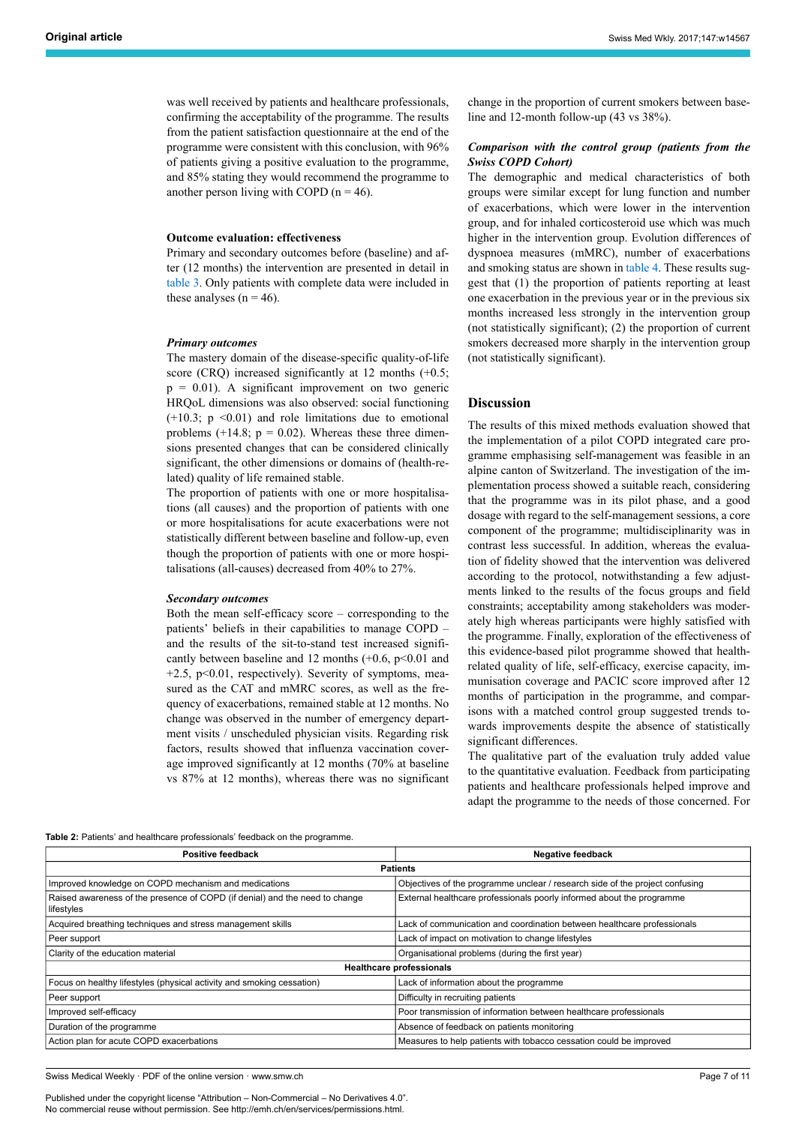was well received by patients and healthcare professionals, confirming the acceptability of the programme. The results from the patient satisfaction questionnaire at the end of the programme were consistent with this conclusion, with 96% of patients giving a positive evaluation to the programme, and 85% stating they would recommend the programme to another person living with COPD ( $n = 46$ ).

#### **Outcome evaluation: effectiveness**

Primary and secondary outcomes before (baseline) and after (12 months) the intervention are presented in detail in [table](#page-7-0) 3. Only patients with complete data were included in these analyses  $(n = 46)$ .

#### *Primary outcomes*

The mastery domain of the disease-specific quality-of-life score (CRQ) increased significantly at 12 months (+0.5;  $p = 0.01$ ). A significant improvement on two generic HRQoL dimensions was also observed: social functioning  $(+10.3; p \le 0.01)$  and role limitations due to emotional problems  $(+14.8; p = 0.02)$ . Whereas these three dimensions presented changes that can be considered clinically significant, the other dimensions or domains of (health-related) quality of life remained stable.

The proportion of patients with one or more hospitalisations (all causes) and the proportion of patients with one or more hospitalisations for acute exacerbations were not statistically different between baseline and follow-up, even though the proportion of patients with one or more hospitalisations (all-causes) decreased from 40% to 27%.

#### *Secondary outcomes*

Both the mean self-efficacy score – corresponding to the patients' beliefs in their capabilities to manage COPD – and the results of the sit-to-stand test increased significantly between baseline and 12 months  $(+0.6, p<0.01$  and  $+2.5$ ,  $p<0.01$ , respectively). Severity of symptoms, measured as the CAT and mMRC scores, as well as the frequency of exacerbations, remained stable at 12 months. No change was observed in the number of emergency department visits / unscheduled physician visits. Regarding risk factors, results showed that influenza vaccination coverage improved significantly at 12 months (70% at baseline vs 87% at 12 months), whereas there was no significant change in the proportion of current smokers between baseline and 12-month follow-up (43 vs 38%).

# *Comparison with the control group (patients from the Swiss COPD Cohort)*

The demographic and medical characteristics of both groups were similar except for lung function and number of exacerbations, which were lower in the intervention group, and for inhaled corticosteroid use which was much higher in the intervention group. Evolution differences of dyspnoea measures (mMRC), number of exacerbations and smoking status are shown in [table](#page-7-1) 4. These results suggest that (1) the proportion of patients reporting at least one exacerbation in the previous year or in the previous six months increased less strongly in the intervention group (not statistically significant); (2) the proportion of current smokers decreased more sharply in the intervention group (not statistically significant).

# **Discussion**

The results of this mixed methods evaluation showed that the implementation of a pilot COPD integrated care programme emphasising self-management was feasible in an alpine canton of Switzerland. The investigation of the implementation process showed a suitable reach, considering that the programme was in its pilot phase, and a good dosage with regard to the self-management sessions, a core component of the programme; multidisciplinarity was in contrast less successful. In addition, whereas the evaluation of fidelity showed that the intervention was delivered according to the protocol, notwithstanding a few adjustments linked to the results of the focus groups and field constraints; acceptability among stakeholders was moderately high whereas participants were highly satisfied with the programme. Finally, exploration of the effectiveness of this evidence-based pilot programme showed that healthrelated quality of life, self-efficacy, exercise capacity, immunisation coverage and PACIC score improved after 12 months of participation in the programme, and comparisons with a matched control group suggested trends towards improvements despite the absence of statistically significant differences.

The qualitative part of the evaluation truly added value to the quantitative evaluation. Feedback from participating patients and healthcare professionals helped improve and adapt the programme to the needs of those concerned. For

<span id="page-6-0"></span>**Table 2:** Patients' and healthcare professionals' feedback on the programme.

| Positive feedback                                                                         | <b>Negative feedback</b>                                                     |  |  |  |  |
|-------------------------------------------------------------------------------------------|------------------------------------------------------------------------------|--|--|--|--|
| <b>Patients</b>                                                                           |                                                                              |  |  |  |  |
| Improved knowledge on COPD mechanism and medications                                      | Objectives of the programme unclear / research side of the project confusing |  |  |  |  |
| Raised awareness of the presence of COPD (if denial) and the need to change<br>lifestyles | External healthcare professionals poorly informed about the programme        |  |  |  |  |
| Acquired breathing techniques and stress management skills                                | Lack of communication and coordination between healthcare professionals      |  |  |  |  |
| Peer support                                                                              | Lack of impact on motivation to change lifestyles                            |  |  |  |  |
| Clarity of the education material                                                         | Organisational problems (during the first year)                              |  |  |  |  |
| <b>Healthcare professionals</b>                                                           |                                                                              |  |  |  |  |
| Focus on healthy lifestyles (physical activity and smoking cessation)                     | Lack of information about the programme                                      |  |  |  |  |
| Peer support                                                                              | Difficulty in recruiting patients                                            |  |  |  |  |
| Improved self-efficacy                                                                    | Poor transmission of information between healthcare professionals            |  |  |  |  |
| Duration of the programme                                                                 | Absence of feedback on patients monitoring                                   |  |  |  |  |
| Action plan for acute COPD exacerbations                                                  | Measures to help patients with tobacco cessation could be improved           |  |  |  |  |

Swiss Medical Weekly · PDF of the online version · www.smw.ch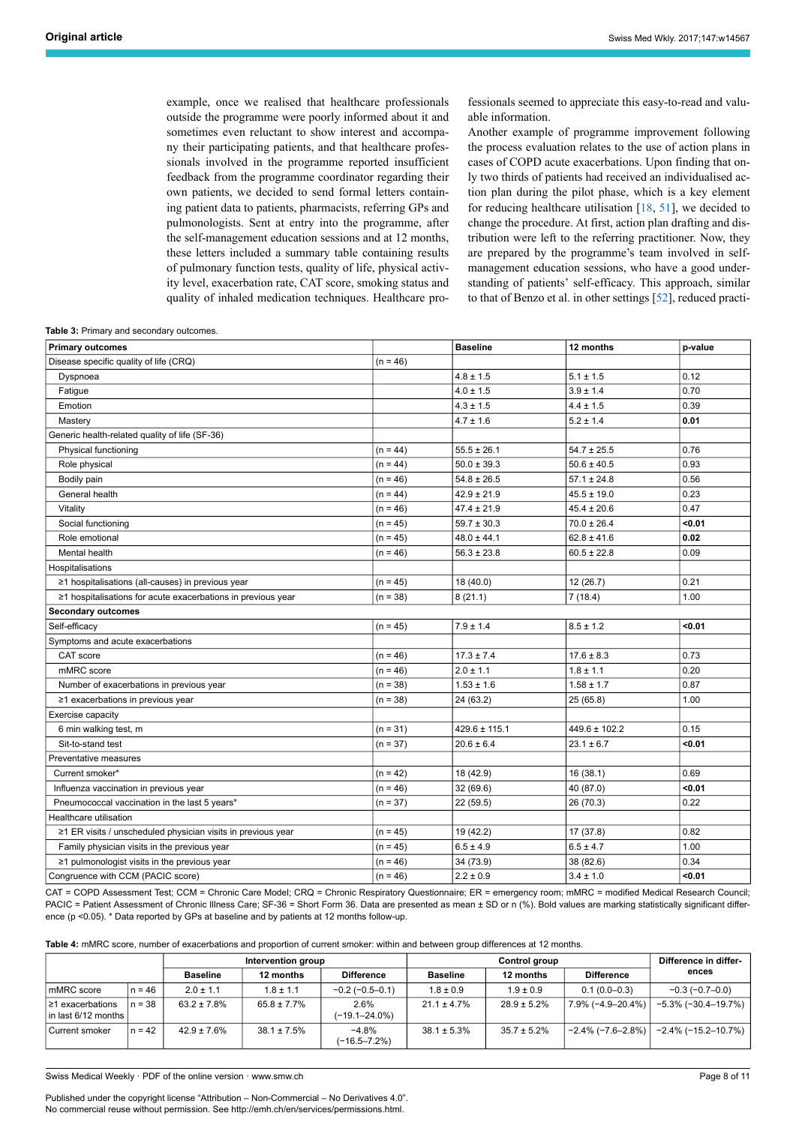example, once we realised that healthcare professionals outside the programme were poorly informed about it and sometimes even reluctant to show interest and accompany their participating patients, and that healthcare professionals involved in the programme reported insufficient feedback from the programme coordinator regarding their own patients, we decided to send formal letters containing patient data to patients, pharmacists, referring GPs and pulmonologists. Sent at entry into the programme, after the self-management education sessions and at 12 months, these letters included a summary table containing results of pulmonary function tests, quality of life, physical activity level, exacerbation rate, CAT score, smoking status and quality of inhaled medication techniques. Healthcare professionals seemed to appreciate this easy-to-read and valuable information.

Another example of programme improvement following the process evaluation relates to the use of action plans in cases of COPD acute exacerbations. Upon finding that only two thirds of patients had received an individualised action plan during the pilot phase, which is a key element for reducing healthcare utilisation  $[18, 51]$  $[18, 51]$  $[18, 51]$  $[18, 51]$ , we decided to change the procedure. At first, action plan drafting and distribution were left to the referring practitioner. Now, they are prepared by the programme's team involved in selfmanagement education sessions, who have a good understanding of patients' self-efficacy. This approach, similar to that of Benzo et al. in other settings [[52\]](#page-10-6), reduced practi-

<span id="page-7-0"></span>**Table 3:** Primary and secondary outcomes.

| <b>Primary outcomes</b>                                      |            | <b>Baseline</b>   | 12 months         | p-value |
|--------------------------------------------------------------|------------|-------------------|-------------------|---------|
| Disease specific quality of life (CRQ)                       | $(n = 46)$ |                   |                   |         |
| Dyspnoea                                                     |            | $4.8 \pm 1.5$     | $5.1 \pm 1.5$     | 0.12    |
| Fatigue                                                      |            | $4.0 \pm 1.5$     | $3.9 \pm 1.4$     | 0.70    |
| Emotion                                                      |            | $4.3 \pm 1.5$     | $4.4 \pm 1.5$     | 0.39    |
| Mastery                                                      |            | $4.7 \pm 1.6$     | $5.2 \pm 1.4$     | 0.01    |
| Generic health-related quality of life (SF-36)               |            |                   |                   |         |
| Physical functioning                                         | $(n = 44)$ | $55.5 \pm 26.1$   | $54.7 \pm 25.5$   | 0.76    |
| Role physical                                                | $(n = 44)$ | $50.0 \pm 39.3$   | $50.6 \pm 40.5$   | 0.93    |
| Bodily pain                                                  | $(n = 46)$ | $54.8 \pm 26.5$   | $57.1 \pm 24.8$   | 0.56    |
| General health                                               | $(n = 44)$ | $42.9 \pm 21.9$   | $45.5 \pm 19.0$   | 0.23    |
| Vitality                                                     | $(n = 46)$ | $47.4 \pm 21.9$   | $45.4 \pm 20.6$   | 0.47    |
| Social functioning                                           | $(n = 45)$ | $59.7 \pm 30.3$   | $70.0 \pm 26.4$   | < 0.01  |
| Role emotional                                               | $(n = 45)$ | $48.0 \pm 44.1$   | $62.8 \pm 41.6$   | 0.02    |
| Mental health                                                | $(n = 46)$ | $56.3 \pm 23.8$   | $60.5 \pm 22.8$   | 0.09    |
| Hospitalisations                                             |            |                   |                   |         |
| ≥1 hospitalisations (all-causes) in previous year            | $(n = 45)$ | 18 (40.0)         | 12(26.7)          | 0.21    |
| ≥1 hospitalisations for acute exacerbations in previous year | $(n = 38)$ | 8(21.1)           | 7(18.4)           | 1.00    |
| <b>Secondary outcomes</b>                                    |            |                   |                   |         |
| Self-efficacy                                                | $(n = 45)$ | $7.9 \pm 1.4$     | $8.5 \pm 1.2$     | < 0.01  |
| Symptoms and acute exacerbations                             |            |                   |                   |         |
| CAT score                                                    | $(n = 46)$ | $17.3 \pm 7.4$    | $17.6 \pm 8.3$    | 0.73    |
| mMRC score                                                   | $(n = 46)$ | $2.0 \pm 1.1$     | $1.8 \pm 1.1$     | 0.20    |
| Number of exacerbations in previous year                     | $(n = 38)$ | $1.53 \pm 1.6$    | $1.58 \pm 1.7$    | 0.87    |
| ≥1 exacerbations in previous year                            | $(n = 38)$ | 24 (63.2)         | 25(65.8)          | 1.00    |
| Exercise capacity                                            |            |                   |                   |         |
| 6 min walking test, m                                        | $(n = 31)$ | $429.6 \pm 115.1$ | $449.6 \pm 102.2$ | 0.15    |
| Sit-to-stand test                                            | $(n = 37)$ | $20.6 \pm 6.4$    | $23.1 \pm 6.7$    | < 0.01  |
| Preventative measures                                        |            |                   |                   |         |
| Current smoker*                                              | $(n = 42)$ | 18 (42.9)         | 16(38.1)          | 0.69    |
| Influenza vaccination in previous year                       | $(n = 46)$ | 32 (69.6)         | 40 (87.0)         | < 0.01  |
| Pneumococcal vaccination in the last 5 years*                | $(n = 37)$ | 22 (59.5)         | 26 (70.3)         | 0.22    |
| Healthcare utilisation                                       |            |                   |                   |         |
| ≥1 ER visits / unscheduled physician visits in previous year | $(n = 45)$ | 19 (42.2)         | 17 (37.8)         | 0.82    |
| Family physician visits in the previous year                 | $(n = 45)$ | $6.5 \pm 4.9$     | $6.5 \pm 4.7$     | 1.00    |
| ≥1 pulmonologist visits in the previous year                 | $(n = 46)$ | 34 (73.9)         | 38 (82.6)         | 0.34    |
| Congruence with CCM (PACIC score)                            | $(n = 46)$ | $2.2 \pm 0.9$     | $3.4 \pm 1.0$     | < 0.01  |

CAT = COPD Assessment Test; CCM = Chronic Care Model; CRQ = Chronic Respiratory Questionnaire; ER = emergency room; mMRC = modified Medical Research Council; PACIC = Patient Assessment of Chronic Illness Care: SF-36 = Short Form 36. Data are presented as mean ± SD or n (%). Bold values are marking statistically significant difference (p <0.05). \* Data reported by GPs at baseline and by patients at 12 months follow-up.

<span id="page-7-1"></span>**Table 4:** mMRC score, number of exacerbations and proportion of current smoker: within and between group differences at 12 months.

|                                               |          | Intervention group |                  | Control group               |                  |                  | Difference in differ- |                        |
|-----------------------------------------------|----------|--------------------|------------------|-----------------------------|------------------|------------------|-----------------------|------------------------|
|                                               |          | <b>Baseline</b>    | 12 months        | <b>Difference</b>           | <b>Baseline</b>  | 12 months        | <b>Difference</b>     | ences                  |
| mMRC score                                    | $n = 46$ | $2.0 \pm 1.1$      | $1.8 \pm 1.1$    | $-0.2$ ( $-0.5-0.1$ )       | $1.8 \pm 0.9$    | $1.9 \pm 0.9$    | $0.1(0.0-0.3)$        | $-0.3(-0.7-0.0)$       |
| I ≥1 exacerbations<br>l in last 6/12 months I | $n = 38$ | $63.2 \pm 7.8\%$   | 65.8 ± 7.7%      | 2.6%<br>$(-19.1 - 24.0\%)$  | $21.1 \pm 4.7\%$ | $28.9 \pm 5.2\%$ | 7.9% (-4.9–20.4%)     | $-5.3\%$ (-30.4–19.7%) |
| l Current smoker                              | $n = 42$ | $42.9 \pm 7.6\%$   | $38.1 \pm 7.5\%$ | $-4.8%$<br>$(-16.5 - 7.2%)$ | $38.1 \pm 5.3\%$ | $35.7 \pm 5.2\%$ | $-2.4\%$ (-7.6–2.8%)  | $-2.4\%$ (-15.2–10.7%) |

Swiss Medical Weekly · PDF of the online version · www.smw.ch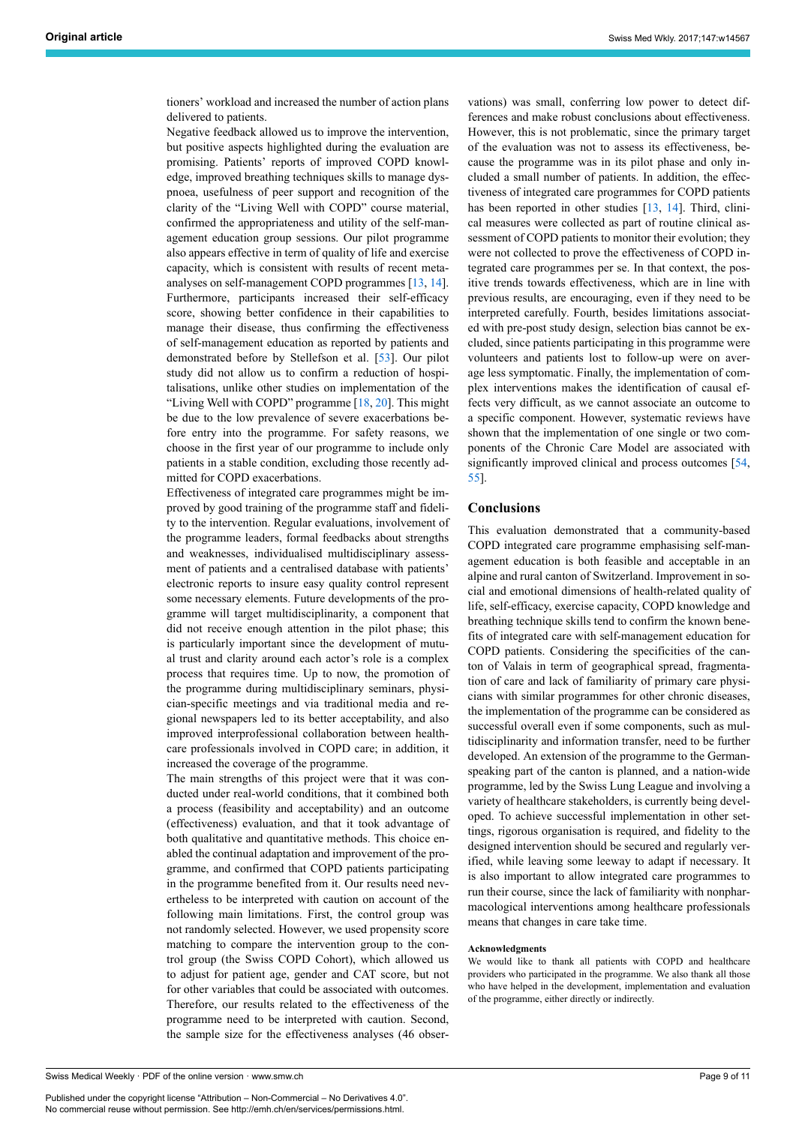tioners' workload and increased the number of action plans delivered to patients.

Negative feedback allowed us to improve the intervention, but positive aspects highlighted during the evaluation are promising. Patients' reports of improved COPD knowledge, improved breathing techniques skills to manage dyspnoea, usefulness of peer support and recognition of the clarity of the "Living Well with COPD" course material, confirmed the appropriateness and utility of the self-management education group sessions. Our pilot programme also appears effective in term of quality of life and exercise capacity, which is consistent with results of recent metaanalyses on self-management COPD programmes [\[13](#page-9-27), [14\]](#page-9-11). Furthermore, participants increased their self-efficacy score, showing better confidence in their capabilities to manage their disease, thus confirming the effectiveness of self-management education as reported by patients and demonstrated before by Stellefson et al. [\[53](#page-10-15)]. Our pilot study did not allow us to confirm a reduction of hospitalisations, unlike other studies on implementation of the "Living Well with COPD" programme [[18,](#page-9-15) [20\]](#page-9-18). This might be due to the low prevalence of severe exacerbations before entry into the programme. For safety reasons, we choose in the first year of our programme to include only patients in a stable condition, excluding those recently admitted for COPD exacerbations.

Effectiveness of integrated care programmes might be improved by good training of the programme staff and fidelity to the intervention. Regular evaluations, involvement of the programme leaders, formal feedbacks about strengths and weaknesses, individualised multidisciplinary assessment of patients and a centralised database with patients' electronic reports to insure easy quality control represent some necessary elements. Future developments of the programme will target multidisciplinarity, a component that did not receive enough attention in the pilot phase; this is particularly important since the development of mutual trust and clarity around each actor's role is a complex process that requires time. Up to now, the promotion of the programme during multidisciplinary seminars, physician-specific meetings and via traditional media and regional newspapers led to its better acceptability, and also improved interprofessional collaboration between healthcare professionals involved in COPD care; in addition, it increased the coverage of the programme.

The main strengths of this project were that it was conducted under real-world conditions, that it combined both a process (feasibility and acceptability) and an outcome (effectiveness) evaluation, and that it took advantage of both qualitative and quantitative methods. This choice enabled the continual adaptation and improvement of the programme, and confirmed that COPD patients participating in the programme benefited from it. Our results need nevertheless to be interpreted with caution on account of the following main limitations. First, the control group was not randomly selected. However, we used propensity score matching to compare the intervention group to the control group (the Swiss COPD Cohort), which allowed us to adjust for patient age, gender and CAT score, but not for other variables that could be associated with outcomes. Therefore, our results related to the effectiveness of the programme need to be interpreted with caution. Second, the sample size for the effectiveness analyses (46 observations) was small, conferring low power to detect differences and make robust conclusions about effectiveness. However, this is not problematic, since the primary target of the evaluation was not to assess its effectiveness, because the programme was in its pilot phase and only included a small number of patients. In addition, the effectiveness of integrated care programmes for COPD patients has been reported in other studies [[13,](#page-9-27) [14\]](#page-9-11). Third, clinical measures were collected as part of routine clinical assessment of COPD patients to monitor their evolution; they were not collected to prove the effectiveness of COPD integrated care programmes per se. In that context, the positive trends towards effectiveness, which are in line with previous results, are encouraging, even if they need to be interpreted carefully. Fourth, besides limitations associated with pre-post study design, selection bias cannot be excluded, since patients participating in this programme were volunteers and patients lost to follow-up were on average less symptomatic. Finally, the implementation of complex interventions makes the identification of causal effects very difficult, as we cannot associate an outcome to a specific component. However, systematic reviews have shown that the implementation of one single or two components of the Chronic Care Model are associated with significantly improved clinical and process outcomes [\[54](#page-10-8), [55](#page-10-16)].

#### **Conclusions**

This evaluation demonstrated that a community-based COPD integrated care programme emphasising self-management education is both feasible and acceptable in an alpine and rural canton of Switzerland. Improvement in social and emotional dimensions of health-related quality of life, self-efficacy, exercise capacity, COPD knowledge and breathing technique skills tend to confirm the known benefits of integrated care with self-management education for COPD patients. Considering the specificities of the canton of Valais in term of geographical spread, fragmentation of care and lack of familiarity of primary care physicians with similar programmes for other chronic diseases, the implementation of the programme can be considered as successful overall even if some components, such as multidisciplinarity and information transfer, need to be further developed. An extension of the programme to the Germanspeaking part of the canton is planned, and a nation-wide programme, led by the Swiss Lung League and involving a variety of healthcare stakeholders, is currently being developed. To achieve successful implementation in other settings, rigorous organisation is required, and fidelity to the designed intervention should be secured and regularly verified, while leaving some leeway to adapt if necessary. It is also important to allow integrated care programmes to run their course, since the lack of familiarity with nonpharmacological interventions among healthcare professionals means that changes in care take time.

#### **Acknowledgments**

We would like to thank all patients with COPD and healthcare providers who participated in the programme. We also thank all those who have helped in the development, implementation and evaluation of the programme, either directly or indirectly.

Swiss Medical Weekly · PDF of the online version · www.smw.ch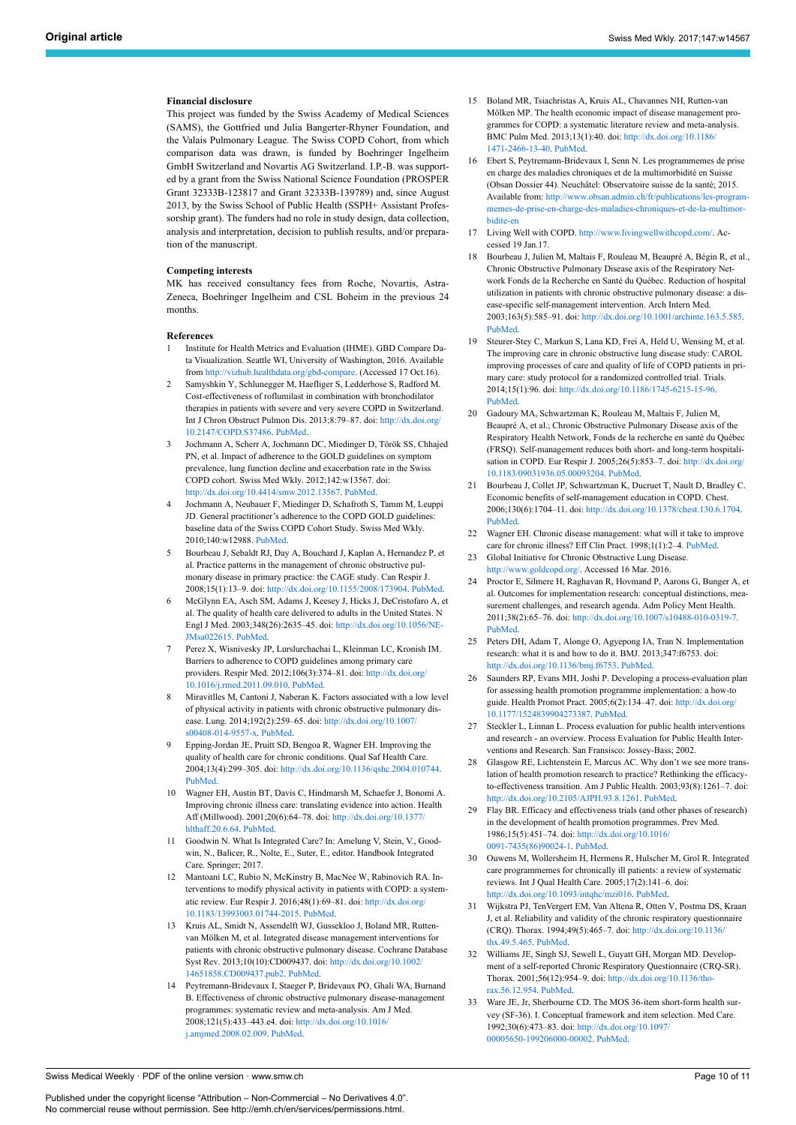#### <span id="page-9-12"></span>**Financial disclosure**

<span id="page-9-13"></span>This project was funded by the Swiss Academy of Medical Sciences (SAMS), the Gottfried und Julia Bangerter-Rhyner Foundation, and the Valais Pulmonary League. The Swiss COPD Cohort, from which comparison data was drawn, is funded by Boehringer Ingelheim GmbH Switzerland and Novartis AG Switzerland. I.P.-B. was supported by a grant from the Swiss National Science Foundation (PROSPER Grant 32333B-123817 and Grant 32333B-139789) and, since August 2013, by the Swiss School of Public Health (SSPH+ Assistant Professorship grant). The funders had no role in study design, data collection, analysis and interpretation, decision to publish results, and/or preparation of the manuscript.

# <span id="page-9-15"></span><span id="page-9-14"></span>**Competing interests**

MK has received consultancy fees from Roche, Novartis, Astra-Zeneca, Boehringer Ingelheim and CSL Boheim in the previous 24 months.

#### <span id="page-9-16"></span><span id="page-9-0"></span>**References**

- 1 Institute for Health Metrics and Evaluation (IHME). GBD Compare Data Visualization. Seattle WI, University of Washington, 2016. Available from [http://vizhub.healthdata.org/gbd-compare.](http://vizhub.healthdata.org/gbd-compare) (Accessed 17 Oct.16).
- <span id="page-9-18"></span><span id="page-9-1"></span>2 Samyshkin Y, Schlunegger M, Haefliger S, Ledderhose S, Radford M. Cost-effectiveness of roflumilast in combination with bronchodilator therapies in patients with severe and very severe COPD in Switzerland. Int J Chron Obstruct Pulmon Dis. 2013;8:79–87. doi: [http://dx.doi.org/](http://dx.doi.org/10.2147/COPD.S37486) [10.2147/COPD.S37486](http://dx.doi.org/10.2147/COPD.S37486). [PubMed](http://www.ncbi.nlm.nih.gov/entrez/query.fcgi?cmd=Retrieve&db=PubMed&list_uids=23386787&dopt=Abstract).
- <span id="page-9-2"></span>3 Jochmann A, Scherr A, Jochmann DC, Miedinger D, Török SS, Chhajed PN, et al. Impact of adherence to the GOLD guidelines on symptom prevalence, lung function decline and exacerbation rate in the Swiss COPD cohort. Swiss Med Wkly. 2012;142:w13567. doi: <http://dx.doi.org/10.4414/smw.2012.13567>. [PubMed.](http://www.ncbi.nlm.nih.gov/entrez/query.fcgi?cmd=Retrieve&db=PubMed&list_uids=22481636&dopt=Abstract)
- <span id="page-9-19"></span><span id="page-9-17"></span>4 Jochmann A, Neubauer F, Miedinger D, Schafroth S, Tamm M, Leuppi JD. General practitioner's adherence to the COPD GOLD guidelines: baseline data of the Swiss COPD Cohort Study. Swiss Med Wkly. 2010;140:w12988. [PubMed](http://www.ncbi.nlm.nih.gov/entrez/query.fcgi?cmd=Retrieve&db=PubMed&list_uids=20407960&dopt=Abstract).
- <span id="page-9-21"></span><span id="page-9-20"></span><span id="page-9-3"></span>5 Bourbeau J, Sebaldt RJ, Day A, Bouchard J, Kaplan A, Hernandez P, et al. Practice patterns in the management of chronic obstructive pulmonary disease in primary practice: the CAGE study. Can Respir J. 2008;15(1):13–9. doi: [http://dx.doi.org/10.1155/2008/173904.](http://dx.doi.org/10.1155/2008/173904) [PubMed.](http://www.ncbi.nlm.nih.gov/entrez/query.fcgi?cmd=Retrieve&db=PubMed&list_uids=18292848&dopt=Abstract)
- <span id="page-9-22"></span><span id="page-9-4"></span>6 McGlynn EA, Asch SM, Adams J, Keesey J, Hicks J, DeCristofaro A, et al. The quality of health care delivered to adults in the United States. N Engl J Med. 2003;348(26):2635–45. doi: [http://dx.doi.org/10.1056/NE-](http://dx.doi.org/10.1056/NEJMsa022615)[JMsa022615](http://dx.doi.org/10.1056/NEJMsa022615). [PubMed.](http://www.ncbi.nlm.nih.gov/entrez/query.fcgi?cmd=Retrieve&db=PubMed&list_uids=12826639&dopt=Abstract)
- <span id="page-9-5"></span>7 Perez X, Wisnivesky JP, Lurslurchachai L, Kleinman LC, Kronish IM. Barriers to adherence to COPD guidelines among primary care providers. Respir Med. 2012;106(3):374–81. doi: [http://dx.doi.org/](http://dx.doi.org/10.1016/j.rmed.2011.09.010) [10.1016/j.rmed.2011.09.010](http://dx.doi.org/10.1016/j.rmed.2011.09.010). [PubMed.](http://www.ncbi.nlm.nih.gov/entrez/query.fcgi?cmd=Retrieve&db=PubMed&list_uids=22000501&dopt=Abstract)
- <span id="page-9-6"></span>Miravitlles M, Cantoni J, Naberan K. Factors associated with a low level of physical activity in patients with chronic obstructive pulmonary disease. Lung. 2014;192(2):259–65. doi: [http://dx.doi.org/10.1007/](http://dx.doi.org/10.1007/s00408-014-9557-x) [s00408-014-9557-x](http://dx.doi.org/10.1007/s00408-014-9557-x). [PubMed](http://www.ncbi.nlm.nih.gov/entrez/query.fcgi?cmd=Retrieve&db=PubMed&list_uids=24477375&dopt=Abstract).
- <span id="page-9-24"></span><span id="page-9-23"></span><span id="page-9-7"></span>9 Epping-Jordan JE, Pruitt SD, Bengoa R, Wagner EH. Improving the quality of health care for chronic conditions. Qual Saf Health Care. 2004;13(4):299–305. doi: [http://dx.doi.org/10.1136/qshc.2004.010744.](http://dx.doi.org/10.1136/qshc.2004.010744) [PubMed.](http://www.ncbi.nlm.nih.gov/entrez/query.fcgi?cmd=Retrieve&db=PubMed&list_uids=15289634&dopt=Abstract)
- <span id="page-9-25"></span><span id="page-9-8"></span>10 Wagner EH, Austin BT, Davis C, Hindmarsh M, Schaefer J, Bonomi A. Improving chronic illness care: translating evidence into action. Health Aff (Millwood). 2001;20(6):64–78. doi: [http://dx.doi.org/10.1377/](http://dx.doi.org/10.1377/hlthaff.20.6.64) [hlthaff.20.6.64.](http://dx.doi.org/10.1377/hlthaff.20.6.64) [PubMed.](http://www.ncbi.nlm.nih.gov/entrez/query.fcgi?cmd=Retrieve&db=PubMed&list_uids=11816692&dopt=Abstract)
- <span id="page-9-26"></span><span id="page-9-9"></span>11 Goodwin N. What Is Integrated Care? In: Amelung V, Stein, V., Goodwin, N., Balicer, R., Nolte, E., Suter, E., editor. Handbook Integrated Care. Springer; 2017.
- <span id="page-9-10"></span>12 Mantoani LC, Rubio N, McKinstry B, MacNee W, Rabinovich RA. Interventions to modify physical activity in patients with COPD: a systematic review. Eur Respir J. 2016;48(1):69–81. doi: [http://dx.doi.org/](http://dx.doi.org/10.1183/13993003.01744-2015) [10.1183/13993003.01744-2015.](http://dx.doi.org/10.1183/13993003.01744-2015) [PubMed](http://www.ncbi.nlm.nih.gov/entrez/query.fcgi?cmd=Retrieve&db=PubMed&list_uids=27103381&dopt=Abstract).
- <span id="page-9-29"></span><span id="page-9-28"></span><span id="page-9-27"></span>13 Kruis AL, Smidt N, Assendelft WJ, Gussekloo J, Boland MR, Ruttenvan Mölken M, et al. Integrated disease management interventions for patients with chronic obstructive pulmonary disease. Cochrane Database Syst Rev. 2013;10(10):CD009437. doi: [http://dx.doi.org/10.1002/](http://dx.doi.org/10.1002/14651858.CD009437.pub2) [14651858.CD009437.pub2](http://dx.doi.org/10.1002/14651858.CD009437.pub2). [PubMed.](http://www.ncbi.nlm.nih.gov/entrez/query.fcgi?cmd=Retrieve&db=PubMed&list_uids=24108523&dopt=Abstract)
- <span id="page-9-30"></span><span id="page-9-11"></span>14 Peytremann-Bridevaux I, Staeger P, Bridevaux PO, Ghali WA, Burnand B. Effectiveness of chronic obstructive pulmonary disease-management programmes: systematic review and meta-analysis. Am J Med. 2008;121(5):433–443.e4. doi: [http://dx.doi.org/10.1016/](http://dx.doi.org/10.1016/j.amjmed.2008.02.009) [j.amjmed.2008.02.009.](http://dx.doi.org/10.1016/j.amjmed.2008.02.009) [PubMed.](http://www.ncbi.nlm.nih.gov/entrez/query.fcgi?cmd=Retrieve&db=PubMed&list_uids=18456040&dopt=Abstract)
- 15 Boland MR, Tsiachristas A, Kruis AL, Chavannes NH, Rutten-van Mölken MP. The health economic impact of disease management programmes for COPD: a systematic literature review and meta-analysis. BMC Pulm Med. 2013;13(1):40. doi: [http://dx.doi.org/10.1186/](http://dx.doi.org/10.1186/1471-2466-13-40) [1471-2466-13-40](http://dx.doi.org/10.1186/1471-2466-13-40). [PubMed.](http://www.ncbi.nlm.nih.gov/entrez/query.fcgi?cmd=Retrieve&db=PubMed&list_uids=23819836&dopt=Abstract)
- 16 Ebert S, Peytremann-Bridevaux I, Senn N. Les programmemes de prise en charge des maladies chroniques et de la multimorbidité en Suisse (Obsan Dossier 44). Neuchâtel: Observatoire suisse de la santé; 2015. Available from: [http://www.obsan.admin.ch/fr/publications/les-program](http://www.obsan.admin.ch/fr/publications/les-programmemes-de-prise-en-charge-des-maladies-chroniques-et-de-la-multimorbidite-en)memes-de-prise-en-charge-des-maladies-chroniques-et-de-la-multimo [bidite-en](http://www.obsan.admin.ch/fr/publications/les-programmemes-de-prise-en-charge-des-maladies-chroniques-et-de-la-multimorbidite-en)
- 17 Living Well with COPD. [http://www.livingwellwithcopd.com/.](http://www.livingwellwithcopd.com/) Accessed 19 Jan.17.
- 18 Bourbeau J, Julien M, Maltais F, Rouleau M, Beaupré A, Bégin R, et al., Chronic Obstructive Pulmonary Disease axis of the Respiratory Network Fonds de la Recherche en Santé du Québec. Reduction of hospital utilization in patients with chronic obstructive pulmonary disease: a disease-specific self-management intervention. Arch Intern Med. 2003;163(5):585–91. doi: <http://dx.doi.org/10.1001/archinte.163.5.585>. [PubMed](http://www.ncbi.nlm.nih.gov/entrez/query.fcgi?cmd=Retrieve&db=PubMed&list_uids=12622605&dopt=Abstract).
- 19 Steurer-Stey C, Markun S, Lana KD, Frei A, Held U, Wensing M, et al. The improving care in chronic obstructive lung disease study: CAROL improving processes of care and quality of life of COPD patients in primary care: study protocol for a randomized controlled trial. Trials. 2014;15(1):96. doi: [http://dx.doi.org/10.1186/1745-6215-15-96.](http://dx.doi.org/10.1186/1745-6215-15-96) [PubMed](http://www.ncbi.nlm.nih.gov/entrez/query.fcgi?cmd=Retrieve&db=PubMed&list_uids=24670200&dopt=Abstract).
- 20 Gadoury MA, Schwartzman K, Rouleau M, Maltais F, Julien M, Beaupré A, et al.; Chronic Obstructive Pulmonary Disease axis of the Respiratory Health Network, Fonds de la recherche en santé du Québec (FRSQ). Self-management reduces both short- and long-term hospitalisation in COPD. Eur Respir J. 2005;26(5):853-7. doi: [http://dx.doi.org/](http://dx.doi.org/10.1183/09031936.05.00093204) [10.1183/09031936.05.00093204.](http://dx.doi.org/10.1183/09031936.05.00093204) [PubMed](http://www.ncbi.nlm.nih.gov/entrez/query.fcgi?cmd=Retrieve&db=PubMed&list_uids=16264046&dopt=Abstract).
- 21 Bourbeau J, Collet JP, Schwartzman K, Ducruet T, Nault D, Bradley C. Economic benefits of self-management education in COPD. Chest. 2006;130(6):1704–11. doi: [http://dx.doi.org/10.1378/chest.130.6.1704.](http://dx.doi.org/10.1378/chest.130.6.1704) [PubMed](http://www.ncbi.nlm.nih.gov/entrez/query.fcgi?cmd=Retrieve&db=PubMed&list_uids=17166985&dopt=Abstract).
- 22 Wagner EH. Chronic disease management: what will it take to improve care for chronic illness? Eff Clin Pract. 1998;1(1):2–4. [PubMed](http://www.ncbi.nlm.nih.gov/entrez/query.fcgi?cmd=Retrieve&db=PubMed&list_uids=10345255&dopt=Abstract).
- 23 Global Initiative for Chronic Obstructive Lung Disease. [http://www.goldcopd.org/.](http://www.goldcopd.org/) Accessed 16 Mar. 2016.
- 24 Proctor E, Silmere H, Raghavan R, Hovmand P, Aarons G, Bunger A, et al. Outcomes for implementation research: conceptual distinctions, measurement challenges, and research agenda. Adm Policy Ment Health. 2011;38(2):65–76. doi: [http://dx.doi.org/10.1007/s10488-010-0319-7.](http://dx.doi.org/10.1007/s10488-010-0319-7) [PubMed](http://www.ncbi.nlm.nih.gov/entrez/query.fcgi?cmd=Retrieve&db=PubMed&list_uids=20957426&dopt=Abstract).
- 25 Peters DH, Adam T, Alonge O, Agyepong IA, Tran N. Implementation research: what it is and how to do it. BMJ. 2013;347:f6753. doi: <http://dx.doi.org/10.1136/bmj.f6753>. [PubMed.](http://www.ncbi.nlm.nih.gov/entrez/query.fcgi?cmd=Retrieve&db=PubMed&list_uids=24259324&dopt=Abstract)
- Saunders RP, Evans MH, Joshi P. Developing a process-evaluation plan for assessing health promotion programme implementation: a how-to guide. Health Promot Pract. 2005;6(2):134–47. doi: [http://dx.doi.org/](http://dx.doi.org/10.1177/1524839904273387) [10.1177/1524839904273387.](http://dx.doi.org/10.1177/1524839904273387) [PubMed](http://www.ncbi.nlm.nih.gov/entrez/query.fcgi?cmd=Retrieve&db=PubMed&list_uids=15855283&dopt=Abstract).
- 27 Steckler L, Linnan L. Process evaluation for public health interventions and research - an overview. Process Evaluation for Public Health Interventions and Research. San Fransisco: Jossey-Bass; 2002.
- 28 Glasgow RE, Lichtenstein E, Marcus AC, Why don't we see more translation of health promotion research to practice? Rethinking the efficacyto-effectiveness transition. Am J Public Health. 2003;93(8):1261–7. doi: [http://dx.doi.org/10.2105/AJPH.93.8.1261.](http://dx.doi.org/10.2105/AJPH.93.8.1261) [PubMed.](http://www.ncbi.nlm.nih.gov/entrez/query.fcgi?cmd=Retrieve&db=PubMed&list_uids=12893608&dopt=Abstract)
- 29 Flay BR. Efficacy and effectiveness trials (and other phases of research) in the development of health promotion programmes. Prev Med. 1986;15(5):451–74. doi: [http://dx.doi.org/10.1016/](http://dx.doi.org/10.1016/0091-7435(86)90024-1) [0091-7435\(86\)90024-1](http://dx.doi.org/10.1016/0091-7435(86)90024-1). [PubMed](http://www.ncbi.nlm.nih.gov/entrez/query.fcgi?cmd=Retrieve&db=PubMed&list_uids=3534875&dopt=Abstract).
- 30 Ouwens M, Wollersheim H, Hermens R, Hulscher M, Grol R. Integrated care programmemes for chronically ill patients: a review of systematic reviews. Int J Qual Health Care. 2005;17(2):141–6. doi: [http://dx.doi.org/10.1093/intqhc/mzi016.](http://dx.doi.org/10.1093/intqhc/mzi016) [PubMed.](http://www.ncbi.nlm.nih.gov/entrez/query.fcgi?cmd=Retrieve&db=PubMed&list_uids=15665066&dopt=Abstract)
- 31 Wijkstra PJ, TenVergert EM, Van Altena R, Otten V, Postma DS, Kraan J, et al. Reliability and validity of the chronic respiratory questionnaire (CRQ). Thorax. 1994;49(5):465–7. doi: [http://dx.doi.org/10.1136/](http://dx.doi.org/10.1136/thx.49.5.465) [thx.49.5.465](http://dx.doi.org/10.1136/thx.49.5.465). [PubMed](http://www.ncbi.nlm.nih.gov/entrez/query.fcgi?cmd=Retrieve&db=PubMed&list_uids=8016767&dopt=Abstract).
- 32 Williams JE, Singh SJ, Sewell L, Guyatt GH, Morgan MD. Development of a self-reported Chronic Respiratory Questionnaire (CRQ-SR). Thorax. 2001;56(12):954–9. doi: [http://dx.doi.org/10.1136/tho](http://dx.doi.org/10.1136/thorax.56.12.954)[rax.56.12.954.](http://dx.doi.org/10.1136/thorax.56.12.954) [PubMed.](http://www.ncbi.nlm.nih.gov/entrez/query.fcgi?cmd=Retrieve&db=PubMed&list_uids=11713359&dopt=Abstract)
- 33 Ware JE, Jr, Sherbourne CD. The MOS 36-item short-form health survey (SF-36). I. Conceptual framework and item selection. Med Care. 1992;30(6):473–83. doi: [http://dx.doi.org/10.1097/](http://dx.doi.org/10.1097/00005650-199206000-00002) [00005650-199206000-00002.](http://dx.doi.org/10.1097/00005650-199206000-00002) [PubMed](http://www.ncbi.nlm.nih.gov/entrez/query.fcgi?cmd=Retrieve&db=PubMed&list_uids=1593914&dopt=Abstract).